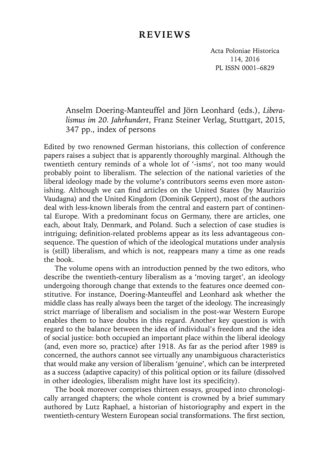# **REVIEWS**

Acta Poloniae Historica 114, 2016 PL ISSN 0001–6829

## Anselm Doering-Manteuffel and Jörn Leonhard (eds.), *Liberalismus im 20. Jahrhundert*, Franz Steiner Verlag, Stuttgart, 2015, 347 pp., index of persons

Edited by two renowned German historians, this collection of conference papers raises a subject that is apparently thoroughly marginal. Although the twentieth century reminds of a whole lot of '-isms', not too many would probably point to liberalism. The selection of the national varieties of the liberal ideology made by the volume's contributors seems even more astonishing. Although we can find articles on the United States (by Maurizio Vaudagna) and the United Kingdom (Dominik Geppert), most of the authors deal with less-known liberals from the central and eastern part of continental Europe. With a predominant focus on Germany, there are articles, one each, about Italy, Denmark, and Poland. Such a selection of case studies is intriguing: definition-related problems appear as its less advantageous consequence. The question of which of the ideological mutations under analysis is (still) liberalism, and which is not, reappears many a time as one reads the book.

The volume opens with an introduction penned by the two editors, who describe the twentieth-century liberalism as a 'moving target', an ideology undergoing thorough change that extends to the features once deemed constitutive. For instance, Doering-Manteuffel and Leonhard ask whether the middle class has really always been the target of the ideology. The increasingly strict marriage of liberalism and socialism in the post-war Western Europe enables them to have doubts in this regard. Another key question is with regard to the balance between the idea of individual's freedom and the idea of social justice: both occupied an important place within the liberal ideology (and, even more so, practice) after 1918. As far as the period after 1989 is concerned, the authors cannot see virtually any unambiguous characteristics that would make any version of liberalism 'genuine', which can be interpreted as a success (adaptive capacity) of this political option or its failure (dissolved in other ideologies, liberalism might have lost its specificity).

The book moreover comprises thirteen essays, grouped into chronologically arranged chapters; the whole content is crowned by a brief summary authored by Lutz Raphael, a historian of historiography and expert in the twentieth-century Western European social transformations. The first section,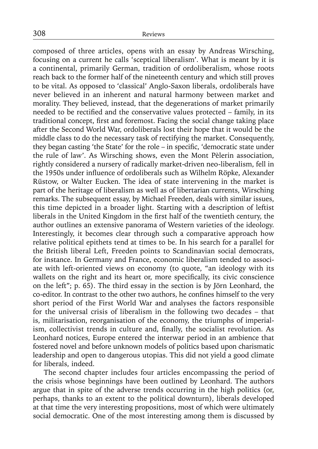composed of three articles, opens with an essay by Andreas Wirsching, focusing on a current he calls 'sceptical liberalism'. What is meant by it is a continental, primarily German, tradition of ordoliberalism, whose roots reach back to the former half of the nineteenth century and which still proves to be vital. As opposed to 'classical' Anglo-Saxon liberals, ordoliberals have never believed in an inherent and natural harmony between market and morality. They believed, instead, that the degenerations of market primarily needed to be rectified and the conservative values protected  $-$  family, in its traditional concept, first and foremost. Facing the social change taking place after the Second World War, ordoliberals lost their hope that it would be the middle class to do the necessary task of rectifying the market. Consequently, they began casting 'the State' for the role – in specific, 'democratic state under the rule of law'. As Wirsching shows, even the Mont Pèlerin association, rightly considered a nursery of radically market-driven neo-liberalism, fell in the 1950s under influence of ordoliberals such as Wilhelm Röpke, Alexander Rüstow, or Walter Eucken. The idea of state intervening in the market is part of the heritage of liberalism as well as of libertarian currents, Wirsching remarks. The subsequent essay, by Michael Freeden, deals with similar issues, this time depicted in a broader light. Starting with a description of leftist liberals in the United Kingdom in the first half of the twentieth century, the author outlines an extensive panorama of Western varieties of the ideology. Interestingly, it becomes clear through such a comparative approach how relative political epithets tend at times to be. In his search for a parallel for the British liberal Left, Freeden points to Scandinavian social democrats, for instance. In Germany and France, economic liberalism tended to associate with left-oriented views on economy (to quote, "an ideology with its wallets on the right and its heart or, more specifically, its civic conscience on the left"; p. 65). The third essay in the section is by Jörn Leonhard, the co-editor. In contrast to the other two authors, he confines himself to the very short period of the First World War and analyses the factors responsible for the universal crisis of liberalism in the following two decades – that is, militarisation, reorganisation of the economy, the triumphs of imperialism, collectivist trends in culture and, finally, the socialist revolution. As Leonhard notices, Europe entered the interwar period in an ambience that fostered novel and before unknown models of politics based upon charismatic leadership and open to dangerous utopias. This did not yield a good climate for liberals, indeed.

The second chapter includes four articles encompassing the period of the crisis whose beginnings have been outlined by Leonhard. The authors argue that in spite of the adverse trends occurring in the high politics (or, perhaps, thanks to an extent to the political downturn), liberals developed at that time the very interesting propositions, most of which were ultimately social democratic. One of the most interesting among them is discussed by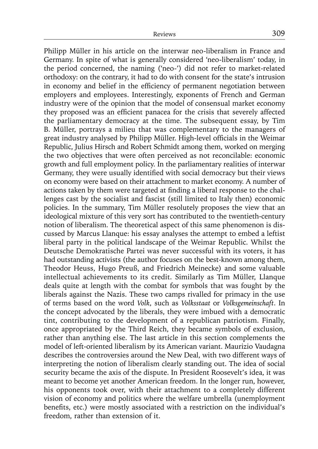Philipp Müller in his article on the interwar neo-liberalism in France and Germany. In spite of what is generally considered 'neo-liberalism' today, in the period concerned, the naming ('neo-') did not refer to market-related orthodoxy: on the contrary, it had to do with consent for the state's intrusion in economy and belief in the efficiency of permanent negotiation between employers and employees. Interestingly, exponents of French and German industry were of the opinion that the model of consensual market economy they proposed was an efficient panacea for the crisis that severely affected the parliamentary democracy at the time. The subsequent essay, by Tim B. Müller, portrays a milieu that was complementary to the managers of great industry analysed by Philipp Müller. High-level officials in the Weimar Republic, Julius Hirsch and Robert Schmidt among them, worked on merging the two objectives that were often perceived as not reconcilable: economic growth and full employment policy. In the parliamentary realities of interwar Germany, they were usually identified with social democracy but their views on economy were based on their attachment to market economy. A number of actions taken by them were targeted at finding a liberal response to the challenges cast by the socialist and fascist (still limited to Italy then) economic policies. In the summary, Tim Müller resolutely proposes the view that an ideological mixture of this very sort has contributed to the twentieth-century notion of liberalism. The theoretical aspect of this same phenomenon is discussed by Marcus Llanque: his essay analyses the attempt to embed a leftist liberal party in the political landscape of the Weimar Republic. Whilst the Deutsche Demokratische Partei was never successful with its voters, it has had outstanding activists (the author focuses on the best-known among them, Theodor Heuss, Hugo Preuß, and Friedrich Meinecke) and some valuable intellectual achievements to its credit. Similarly as Tim Müller, Llanque deals quite at length with the combat for symbols that was fought by the liberals against the Nazis. These two camps rivalled for primacy in the use of terms based on the word *Volk*, such as *Volksstaat* or *Volksgemeinschaft*. In the concept advocated by the liberals, they were imbued with a democratic tint, contributing to the development of a republican patriotism. Finally, once appropriated by the Third Reich, they became symbols of exclusion, rather than anything else. The last article in this section complements the model of left-oriented liberalism by its American variant. Maurizio Vaudagna describes the controversies around the New Deal, with two different ways of interpreting the notion of liberalism clearly standing out. The idea of social security became the axis of the dispute. In President Roosevelt's idea, it was meant to become yet another American freedom. In the longer run, however, his opponents took over, with their attachment to a completely different vision of economy and politics where the welfare umbrella (unemployment benefits, etc.) were mostly associated with a restriction on the individual's freedom, rather than extension of it.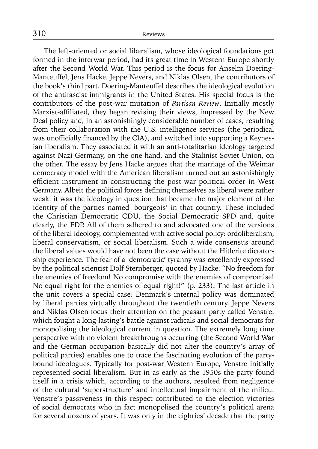The left-oriented or social liberalism, whose ideological foundations got formed in the interwar period, had its great time in Western Europe shortly after the Second World War. This period is the focus for Anselm Doering-Manteuffel, Jens Hacke, Jeppe Nevers, and Niklas Olsen, the contributors of the book's third part. Doering-Manteuffel describes the ideological evolution of the antifascist immigrants in the United States. His special focus is the contributors of the post-war mutation of *Partisan Review*. Initially mostly Marxist-affiliated, they began revising their views, impressed by the New Deal policy and, in an astonishingly considerable number of cases, resulting from their collaboration with the U.S. intelligence services (the periodical was unofficially financed by the CIA), and switched into supporting a Keynesian liberalism. They associated it with an anti-totalitarian ideology targeted against Nazi Germany, on the one hand, and the Stalinist Soviet Union, on the other. The essay by Jens Hacke argues that the marriage of the Weimar democracy model with the American liberalism turned out an astonishingly efficient instrument in constructing the post-war political order in West Germany. Albeit the political forces defining themselves as liberal were rather weak, it was the ideology in question that became the major element of the identity of the parties named 'bourgeois' in that country. These included the Christian Democratic CDU, the Social Democratic SPD and, quite clearly, the FDP. All of them adhered to and advocated one of the versions of the liberal ideology, complemented with active social policy: ordoliberalism, liberal conservatism, or social liberalism. Such a wide consensus around the liberal values would have not been the case without the Hitlerite dictatorship experience. The fear of a 'democratic' tyranny was excellently expressed by the political scientist Dolf Sternberger, quoted by Hacke: "No freedom for the enemies of freedom! No compromise with the enemies of compromise! No equal right for the enemies of equal right!" (p. 233). The last article in the unit covers a special case: Denmark's internal policy was dominated by liberal parties virtually throughout the twentieth century. Jeppe Nevers and Niklas Olsen focus their attention on the peasant party called Venstre, which fought a long-lasting's battle against radicals and social democrats for monopolising the ideological current in question. The extremely long time perspective with no violent breakthroughs occurring (the Second World War and the German occupation basically did not alter the country's array of political parties) enables one to trace the fascinating evolution of the partybound ideologues. Typically for post-war Western Europe, Venstre initially represented social liberalism. But in as early as the 1950s the party found itself in a crisis which, according to the authors, resulted from negligence of the cultural 'superstructure' and intellectual impairment of the milieu. Venstre's passiveness in this respect contributed to the election victories of social democrats who in fact monopolised the country's political arena for several dozens of years. It was only in the eighties' decade that the party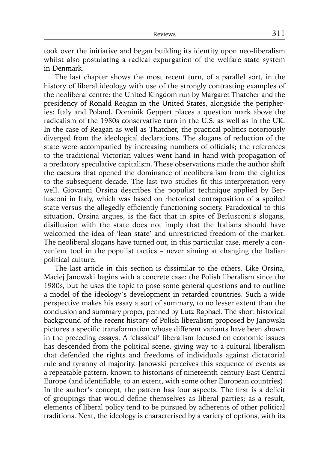took over the initiative and began building its identity upon neo-liberalism whilst also postulating a radical expurgation of the welfare state system in Denmark.

The last chapter shows the most recent turn, of a parallel sort, in the history of liberal ideology with use of the strongly contrasting examples of the neoliberal centre: the United Kingdom run by Margaret Thatcher and the presidency of Ronald Reagan in the United States, alongside the peripheries: Italy and Poland. Dominik Geppert places a question mark above the radicalism of the 1980s conservative turn in the U.S. as well as in the UK. In the case of Reagan as well as Thatcher, the practical politics notoriously diverged from the ideological declarations. The slogans of reduction of the state were accompanied by increasing numbers of officials; the references to the traditional Victorian values went hand in hand with propagation of a predatory speculative capitalism. These observations made the author shift the caesura that opened the dominance of neoliberalism from the eighties to the subsequent decade. The last two studies fit this interpretation very well. Giovanni Orsina describes the populist technique applied by Berlusconi in Italy, which was based on rhetorical contraposition of a spoiled state versus the allegedly efficiently functioning society. Paradoxical to this situation, Orsina argues, is the fact that in spite of Berlusconi's slogans, disillusion with the state does not imply that the Italians should have welcomed the idea of 'lean state' and unrestricted freedom of the market. The neoliberal slogans have turned out, in this particular case, merely a convenient tool in the populist tactics – never aiming at changing the Italian political culture.

The last article in this section is dissimilar to the others. Like Orsina, Maciej Janowski begins with a concrete case: the Polish liberalism since the 1980s, but he uses the topic to pose some general questions and to outline a model of the ideology's development in retarded countries. Such a wide perspective makes his essay a sort of summary, to no lesser extent than the conclusion and summary proper, penned by Lutz Raphael. The short historical background of the recent history of Polish liberalism proposed by Janowski pictures a specific transformation whose different variants have been shown in the preceding essays. A 'classical' liberalism focused on economic issues has descended from the political scene, giving way to a cultural liberalism that defended the rights and freedoms of individuals against dictatorial rule and tyranny of majority. Janowski perceives this sequence of events as a repeatable pattern, known to historians of nineteenth-century East Central Europe (and identifiable, to an extent, with some other European countries). In the author's concept, the pattern has four aspects. The first is a deficit of groupings that would define themselves as liberal parties; as a result, elements of liberal policy tend to be pursued by adherents of other political traditions. Next, the ideology is characterised by a variety of options, with its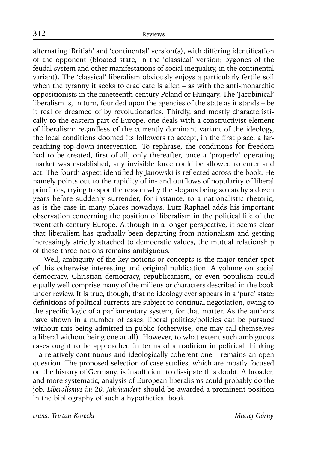alternating 'British' and 'continental' version(s), with differing identification of the opponent (bloated state, in the 'classical' version; bygones of the feudal system and other manifestations of social inequality, in the continental variant). The 'classical' liberalism obviously enjoys a particularly fertile soil when the tyranny it seeks to eradicate is alien – as with the anti-monarchic oppositionists in the nineteenth-century Poland or Hungary. The 'Jacobinical' liberalism is, in turn, founded upon the agencies of the state as it stands – be it real or dreamed of by revolutionaries. Thirdly, and mostly characteristically to the eastern part of Europe, one deals with a constructivist element of liberalism: regardless of the currently dominant variant of the ideology, the local conditions doomed its followers to accept, in the first place, a farreaching top-down intervention. To rephrase, the conditions for freedom had to be created, first of all; only thereafter, once a 'properly' operating market was established, any invisible force could be allowed to enter and act. The fourth aspect identified by Janowski is reflected across the book. He namely points out to the rapidity of in- and outflows of popularity of liberal principles, trying to spot the reason why the slogans being so catchy a dozen years before suddenly surrender, for instance, to a nationalistic rhetoric, as is the case in many places nowadays. Lutz Raphael adds his important observation concerning the position of liberalism in the political life of the twentieth-century Europe. Although in a longer perspective, it seems clear that liberalism has gradually been departing from nationalism and getting increasingly strictly attached to democratic values, the mutual relationship of these three notions remains ambiguous.

Well, ambiguity of the key notions or concepts is the major tender spot of this otherwise interesting and original publication. A volume on social democracy, Christian democracy, republicanism, or even populism could equally well comprise many of the milieus or characters described in the book under review. It is true, though, that no ideology ever appears in a 'pure' state; definitions of political currents are subject to continual negotiation, owing to the specific logic of a parliamentary system, for that matter. As the authors have shown in a number of cases, liberal politics/policies can be pursued without this being admitted in public (otherwise, one may call themselves a liberal without being one at all). However, to what extent such ambiguous cases ought to be approached in terms of a tradition in political thinking – a relatively continuous and ideologically coherent one – remains an open question. The proposed selection of case studies, which are mostly focused on the history of Germany, is insufficient to dissipate this doubt. A broader, and more systematic, analysis of European liberalisms could probably do the job. *Liberalismus im 20. Jahrhundert* should be awarded a prominent position in the bibliography of such a hypothetical book.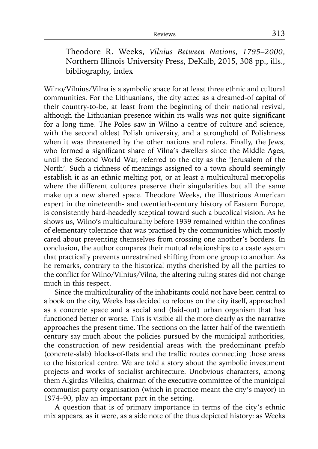Theodore R. Weeks, *Vilnius Between Nations, 1795–2000*, Northern Illinois University Press, DeKalb, 2015, 308 pp., ills., bibliography, index

Wilno/Vilnius/Vilna is a symbolic space for at least three ethnic and cultural communities. For the Lithuanians, the city acted as a dreamed-of capital of their country-to-be, at least from the beginning of their national revival, although the Lithuanian presence within its walls was not quite significant for a long time. The Poles saw in Wilno a centre of culture and science, with the second oldest Polish university, and a stronghold of Polishness when it was threatened by the other nations and rulers. Finally, the Jews, who formed a significant share of Vilna's dwellers since the Middle Ages, until the Second World War, referred to the city as the 'Jerusalem of the North'. Such a richness of meanings assigned to a town should seemingly establish it as an ethnic melting pot, or at least a multicultural metropolis where the different cultures preserve their singularities but all the same make up a new shared space. Theodore Weeks, the illustrious American expert in the nineteenth- and twentieth-century history of Eastern Europe, is consistently hard-headedly sceptical toward such a bucolical vision. As he shows us, Wilno's multiculturality before 1939 remained within the confines of elementary tolerance that was practised by the communities which mostly cared about preventing themselves from crossing one another's borders. In conclusion, the author compares their mutual relationships to a caste system that practically prevents unrestrained shifting from one group to another. As he remarks, contrary to the historical myths cherished by all the parties to the conflict for Wilno/Vilnius/Vilna, the altering ruling states did not change much in this respect.

Since the multiculturality of the inhabitants could not have been central to a book on the city, Weeks has decided to refocus on the city itself, approached as a concrete space and a social and (laid-out) urban organism that has functioned better or worse. This is visible all the more clearly as the narrative approaches the present time. The sections on the latter half of the twentieth century say much about the policies pursued by the municipal authorities, the construction of new residential areas with the predominant prefab (concrete-slab) blocks-of-flats and the traffic routes connecting those areas to the historical centre. We are told a story about the symbolic investment projects and works of socialist architecture. Unobvious characters, among them Algirdas Vileikis, chairman of the executive committee of the municipal communist party organisation (which in practice meant the city's mayor) in 1974–90, play an important part in the setting.

A question that is of primary importance in terms of the city's ethnic mix appears, as it were, as a side note of the thus depicted history: as Weeks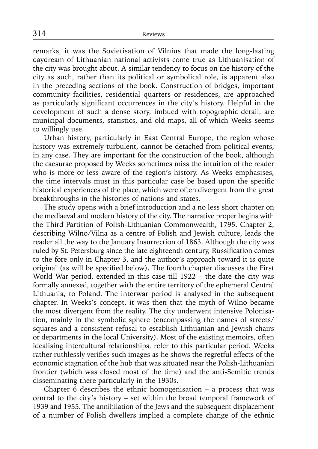remarks, it was the Sovietisation of Vilnius that made the long-lasting daydream of Lithuanian national activists come true as Lithuanisation of the city was brought about. A similar tendency to focus on the history of the city as such, rather than its political or symbolical role, is apparent also in the preceding sections of the book. Construction of bridges, important community facilities, residential quarters or residences, are approached as particularly significant occurrences in the city's history. Helpful in the development of such a dense story, imbued with topographic detail, are municipal documents, statistics, and old maps, all of which Weeks seems to willingly use.

Urban history, particularly in East Central Europe, the region whose history was extremely turbulent, cannot be detached from political events, in any case. They are important for the construction of the book, although the caesurae proposed by Weeks sometimes miss the intuition of the reader who is more or less aware of the region's history. As Weeks emphasises, the time intervals must in this particular case be based upon the specific historical experiences of the place, which were often divergent from the great breakthroughs in the histories of nations and states.

The study opens with a brief introduction and a no less short chapter on the mediaeval and modern history of the city. The narrative proper begins with the Third Partition of Polish-Lithuanian Commonwealth, 1795. Chapter 2, describing Wilno/Vilna as a centre of Polish and Jewish culture, leads the reader all the way to the January Insurrection of 1863. Although the city was ruled by St. Petersburg since the late eighteenth century, Russification comes to the fore only in Chapter 3, and the author's approach toward it is quite original (as will be specified below). The fourth chapter discusses the First World War period, extended in this case till 1922 – the date the city was formally annexed, together with the entire territory of the ephemeral Central Lithuania, to Poland. The interwar period is analysed in the subsequent chapter. In Weeks's concept, it was then that the myth of Wilno became the most divergent from the reality. The city underwent intensive Polonisation, mainly in the symbolic sphere (encompassing the names of streets/ squares and a consistent refusal to establish Lithuanian and Jewish chairs or departments in the local University). Most of the existing memoirs, often idealising intercultural relationships, refer to this particular period. Weeks rather ruthlessly verifies such images as he shows the regretful effects of the economic stagnation of the hub that was situated near the Polish-Lithuanian frontier (which was closed most of the time) and the anti-Semitic trends disseminating there particularly in the 1930s.

Chapter 6 describes the ethnic homogenisation – a process that was central to the city's history – set within the broad temporal framework of 1939 and 1955. The annihilation of the Jews and the subsequent displacement of a number of Polish dwellers implied a complete change of the ethnic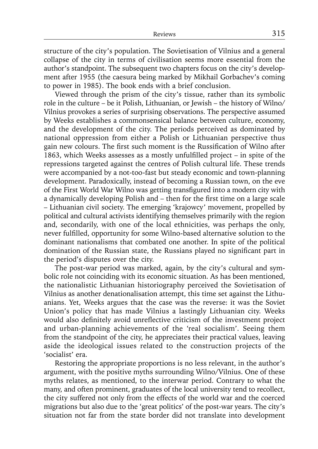structure of the city's population. The Sovietisation of Vilnius and a general collapse of the city in terms of civilisation seems more essential from the author's standpoint. The subsequent two chapters focus on the city's development after 1955 (the caesura being marked by Mikhail Gorbachev's coming to power in 1985). The book ends with a brief conclusion.

Viewed through the prism of the city's tissue, rather than its symbolic role in the culture – be it Polish, Lithuanian, or Jewish – the history of Wilno/ Vilnius provokes a series of surprising observations. The perspective assumed by Weeks establishes a commonsensical balance between culture, economy, and the development of the city. The periods perceived as dominated by national oppression from either a Polish or Lithuanian perspective thus gain new colours. The first such moment is the Russification of Wilno after 1863, which Weeks assesses as a mostly unfulfilled project  $-$  in spite of the repressions targeted against the centres of Polish cultural life. These trends were accompanied by a not-too-fast but steady economic and town-planning development. Paradoxically, instead of becoming a Russian town, on the eve of the First World War Wilno was getting transfigured into a modern city with a dynamically developing Polish and  $-$  then for the first time on a large scale – Lithuanian civil society. The emerging 'krajowcy' movement, propelled by political and cultural activists identifying themselves primarily with the region and, secondarily, with one of the local ethnicities, was perhaps the only, never fulfilled, opportunity for some Wilno-based alternative solution to the dominant nationalisms that combated one another. In spite of the political domination of the Russian state, the Russians played no significant part in the period's disputes over the city.

The post-war period was marked, again, by the city's cultural and symbolic role not coinciding with its economic situation. As has been mentioned, the nationalistic Lithuanian historiography perceived the Sovietisation of Vilnius as another denationalisation attempt, this time set against the Lithuanians. Yet, Weeks argues that the case was the reverse: it was the Soviet Union's policy that has made Vilnius a lastingly Lithuanian city. Weeks would also definitely avoid unreflective criticism of the investment project and urban-planning achievements of the 'real socialism'. Seeing them from the standpoint of the city, he appreciates their practical values, leaving aside the ideological issues related to the construction projects of the 'socialist' era.

Restoring the appropriate proportions is no less relevant, in the author's argument, with the positive myths surrounding Wilno/Vilnius. One of these myths relates, as mentioned, to the interwar period. Contrary to what the many, and often prominent, graduates of the local university tend to recollect, the city suffered not only from the effects of the world war and the coerced migrations but also due to the 'great politics' of the post-war years. The city's situation not far from the state border did not translate into development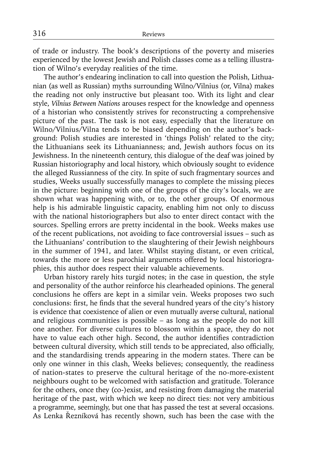of trade or industry. The book's descriptions of the poverty and miseries experienced by the lowest Jewish and Polish classes come as a telling illustration of Wilno's everyday realities of the time.

The author's endearing inclination to call into question the Polish, Lithuanian (as well as Russian) myths surrounding Wilno/Vilnius (or, Vilna) makes the reading not only instructive but pleasant too. With its light and clear style, *Vilnius Between Nations* arouses respect for the knowledge and openness of a historian who consistently strives for reconstructing a comprehensive picture of the past. The task is not easy, especially that the literature on Wilno/Vilnius/Vilna tends to be biased depending on the author's background: Polish studies are interested in 'things Polish' related to the city; the Lithuanians seek its Lithuanianness; and, Jewish authors focus on its Jewishness. In the nineteenth century, this dialogue of the deaf was joined by Russian historiography and local history, which obviously sought to evidence the alleged Russianness of the city. In spite of such fragmentary sources and studies, Weeks usually successfully manages to complete the missing pieces in the picture: beginning with one of the groups of the city's locals, we are shown what was happening with, or to, the other groups. Of enormous help is his admirable linguistic capacity, enabling him not only to discuss with the national historiographers but also to enter direct contact with the sources. Spelling errors are pretty incidental in the book. Weeks makes use of the recent publications, not avoiding to face controversial issues – such as the Lithuanians' contribution to the slaughtering of their Jewish neighbours in the summer of 1941, and later. Whilst staying distant, or even critical, towards the more or less parochial arguments offered by local historiographies, this author does respect their valuable achievements.

Urban history rarely hits turgid notes; in the case in question, the style and personality of the author reinforce his clearheaded opinions. The general conclusions he offers are kept in a similar vein. Weeks proposes two such conclusions: first, he finds that the several hundred years of the city's history is evidence that coexistence of alien or even mutually averse cultural, national and religious communities is possible – as long as the people do not kill one another. For diverse cultures to blossom within a space, they do not have to value each other high. Second, the author identifies contradiction between cultural diversity, which still tends to be appreciated, also officially, and the standardising trends appearing in the modern states. There can be only one winner in this clash, Weeks believes; consequently, the readiness of nation-states to preserve the cultural heritage of the no-more-existent neighbours ought to be welcomed with satisfaction and gratitude. Tolerance for the others, once they (co-)exist, and resisting from damaging the material heritage of the past, with which we keep no direct ties: not very ambitious a programme, seemingly, but one that has passed the test at several occasions. As Lenka Řezníková has recently shown, such has been the case with the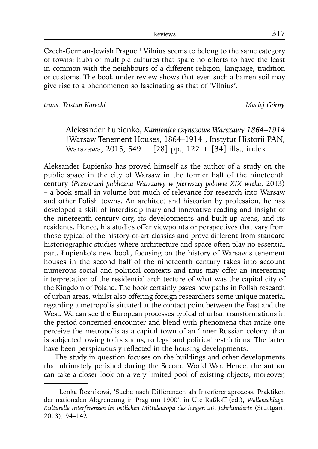Czech-German-Jewish Prague.1 Vilnius seems to belong to the same category of towns: hubs of multiple cultures that spare no efforts to have the least in common with the neighbours of a different religion, language, tradition or customs. The book under review shows that even such a barren soil may give rise to a phenomenon so fascinating as that of 'Vilnius'.

*trans. Tristan Korecki Maciej Górny*

Aleksander Łupienko, *Kamienice czynszowe Warszawy 1864–1914* [Warsaw Tenement Houses, 1864–1914], Instytut Historii PAN, Warszawa, 2015, 549 + [28] pp., 122 + [34] ills., index

Aleksander Łupienko has proved himself as the author of a study on the public space in the city of Warsaw in the former half of the nineteenth century (*Przestrzeń publiczna Warszawy w pierwszej połowie XIX wieku*, 2013) – a book small in volume but much of relevance for research into Warsaw and other Polish towns. An architect and historian by profession, he has developed a skill of interdisciplinary and innovative reading and insight of the nineteenth-century city, its developments and built-up areas, and its residents. Hence, his studies offer viewpoints or perspectives that vary from those typical of the history-of-art classics and prove different from standard historiographic studies where architecture and space often play no essential part. Łupienko's new book, focusing on the history of Warsaw's tenement houses in the second half of the nineteenth century takes into account numerous social and political contexts and thus may offer an interesting interpretation of the residential architecture of what was the capital city of the Kingdom of Poland. The book certainly paves new paths in Polish research of urban areas, whilst also offering foreign researchers some unique material regarding a metropolis situated at the contact point between the East and the West. We can see the European processes typical of urban transformations in the period concerned encounter and blend with phenomena that make one perceive the metropolis as a capital town of an 'inner Russian colony' that is subjected, owing to its status, to legal and political restrictions. The latter have been perspicuously reflected in the housing developments.

The study in question focuses on the buildings and other developments that ultimately perished during the Second World War. Hence, the author can take a closer look on a very limited pool of existing objects; moreover,

<sup>&</sup>lt;sup>1</sup> Lenka Řezníková, 'Suche nach Differenzen als Interferenzprozess. Praktiken der nationalen Abgrenzung in Prag um 1900', in Ute Raßloff (ed.), *Wellenschläge. Kulturelle Interferenzen im östlichen Mitteleuropa des langen 20. Jahrhunderts* (Stuttgart, 2013), 94–142.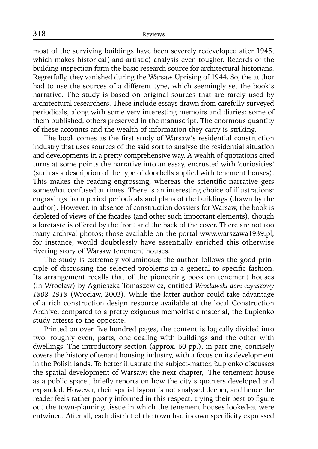most of the surviving buildings have been severely redeveloped after 1945, which makes historical(-and-artistic) analysis even tougher. Records of the building inspection form the basic research source for architectural historians. Regretfully, they vanished during the Warsaw Uprising of 1944. So, the author had to use the sources of a different type, which seemingly set the book's narrative. The study is based on original sources that are rarely used by architectural researchers. These include essays drawn from carefully surveyed periodicals, along with some very interesting memoirs and diaries: some of them published, others preserved in the manuscript. The enormous quantity of these accounts and the wealth of information they carry is striking.

The book comes as the first study of Warsaw's residential construction industry that uses sources of the said sort to analyse the residential situation and developments in a pretty comprehensive way. A wealth of quotations cited turns at some points the narrative into an essay, encrusted with 'curiosities' (such as a description of the type of doorbells applied with tenement houses). This makes the reading engrossing, whereas the scientific narrative gets somewhat confused at times. There is an interesting choice of illustrations: engravings from period periodicals and plans of the buildings (drawn by the author). However, in absence of construction dossiers for Warsaw, the book is depleted of views of the facades (and other such important elements), though a foretaste is offered by the front and the back of the cover. There are not too many archival photos; those available on the portal www.warszawa1939.pl, for instance, would doubtlessly have essentially enriched this otherwise riveting story of Warsaw tenement houses.

The study is extremely voluminous; the author follows the good principle of discussing the selected problems in a general-to-specific fashion. Its arrangement recalls that of the pioneering book on tenement houses (in Wrocław) by Agnieszka Tomaszewicz, entitled *Wrocławski dom czynszowy 1808–1918* (Wrocław, 2003). While the latter author could take advantage of a rich construction design resource available at the local Construction Archive, compared to a pretty exiguous memoiristic material, the Łupienko study attests to the opposite.

Printed on over five hundred pages, the content is logically divided into two, roughly even, parts, one dealing with buildings and the other with dwellings. The introductory section (approx. 60 pp.), in part one, concisely covers the history of tenant housing industry, with a focus on its development in the Polish lands. To better illustrate the subject-matter, Łupienko discusses the spatial development of Warsaw; the next chapter, 'The tenement house as a public space', briefly reports on how the city's quarters developed and expanded. However, their spatial layout is not analysed deeper, and hence the reader feels rather poorly informed in this respect, trying their best to figure out the town-planning tissue in which the tenement houses looked-at were entwined. After all, each district of the town had its own specificity expressed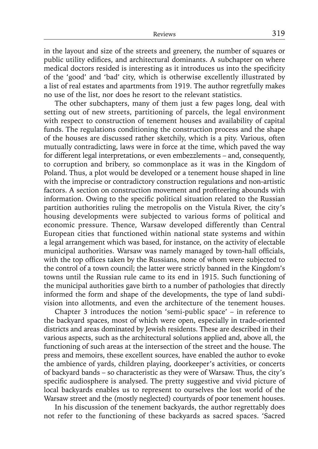in the layout and size of the streets and greenery, the number of squares or public utility edifices, and architectural dominants. A subchapter on where medical doctors resided is interesting as it introduces us into the specificity of the 'good' and 'bad' city, which is otherwise excellently illustrated by a list of real estates and apartments from 1919. The author regretfully makes no use of the list, nor does he resort to the relevant statistics.

The other subchapters, many of them just a few pages long, deal with setting out of new streets, partitioning of parcels, the legal environment with respect to construction of tenement houses and availability of capital funds. The regulations conditioning the construction process and the shape of the houses are discussed rather sketchily, which is a pity. Various, often mutually contradicting, laws were in force at the time, which paved the way for different legal interpretations, or even embezzlements – and, consequently, to corruption and bribery, so commonplace as it was in the Kingdom of Poland. Thus, a plot would be developed or a tenement house shaped in line with the imprecise or contradictory construction regulations and non-artistic factors. A section on construction movement and profiteering abounds with information. Owing to the specific political situation related to the Russian partition authorities ruling the metropolis on the Vistula River, the city's housing developments were subjected to various forms of political and economic pressure. Thence, Warsaw developed differently than Central European cities that functioned within national state systems and within a legal arrangement which was based, for instance, on the activity of electable municipal authorities. Warsaw was namely managed by town-hall officials, with the top offices taken by the Russians, none of whom were subjected to the control of a town council; the latter were strictly banned in the Kingdom's towns until the Russian rule came to its end in 1915. Such functioning of the municipal authorities gave birth to a number of pathologies that directly informed the form and shape of the developments, the type of land subdivision into allotments, and even the architecture of the tenement houses.

Chapter 3 introduces the notion 'semi-public space' – in reference to the backyard spaces, most of which were open, especially in trade-oriented districts and areas dominated by Jewish residents. These are described in their various aspects, such as the architectural solutions applied and, above all, the functioning of such areas at the intersection of the street and the house. The press and memoirs, these excellent sources, have enabled the author to evoke the ambience of yards, children playing, doorkeeper's activities, or concerts of backyard bands – so characteristic as they were of Warsaw. Thus, the city's specific audiosphere is analysed. The pretty suggestive and vivid picture of local backyards enables us to represent to ourselves the lost world of the Warsaw street and the (mostly neglected) courtyards of poor tenement houses.

In his discussion of the tenement backyards, the author regrettably does not refer to the functioning of these backyards as sacred spaces. 'Sacred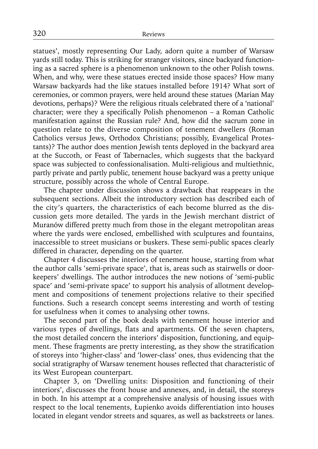statues', mostly representing Our Lady, adorn quite a number of Warsaw yards still today. This is striking for stranger visitors, since backyard functioning as a sacred sphere is a phenomenon unknown to the other Polish towns. When, and why, were these statues erected inside those spaces? How many Warsaw backyards had the like statues installed before 1914? What sort of ceremonies, or common prayers, were held around these statues (Marian May devotions, perhaps)? Were the religious rituals celebrated there of a 'national' character: were they a specifically Polish phenomenon  $-$  a Roman Catholic manifestation against the Russian rule? And, how did the sacrum zone in question relate to the diverse composition of tenement dwellers (Roman Catholics versus Jews, Orthodox Christians; possibly, Evangelical Protestants)? The author does mention Jewish tents deployed in the backyard area at the Succoth, or Feast of Tabernacles, which suggests that the backyard space was subjected to confessionalisation. Multi-religious and multiethnic, partly private and partly public, tenement house backyard was a pretty unique structure, possibly across the whole of Central Europe.

The chapter under discussion shows a drawback that reappears in the subsequent sections. Albeit the introductory section has described each of the city's quarters, the characteristics of each become blurred as the discussion gets more detailed. The yards in the Jewish merchant district of Muranów differed pretty much from those in the elegant metropolitan areas where the vards were enclosed, embellished with sculptures and fountains, inaccessible to street musicians or buskers. These semi-public spaces clearly differed in character, depending on the quarter.

Chapter 4 discusses the interiors of tenement house, starting from what the author calls 'semi-private space', that is, areas such as stairwells or doorkeepers' dwellings. The author introduces the new notions of 'semi-public space' and 'semi-private space' to support his analysis of allotment development and compositions of tenement projections relative to their specified functions. Such a research concept seems interesting and worth of testing for usefulness when it comes to analysing other towns.

The second part of the book deals with tenement house interior and various types of dwellings, flats and apartments. Of the seven chapters, the most detailed concern the interiors' disposition, functioning, and equipment. These fragments are pretty interesting, as they show the stratification of storeys into 'higher-class' and 'lower-class' ones, thus evidencing that the social stratigraphy of Warsaw tenement houses reflected that characteristic of its West European counterpart.

Chapter 3, on 'Dwelling units: Disposition and functioning of their interiors', discusses the front house and annexes, and, in detail, the storeys in both. In his attempt at a comprehensive analysis of housing issues with respect to the local tenements, Łupienko avoids differentiation into houses located in elegant vendor streets and squares, as well as backstreets or lanes.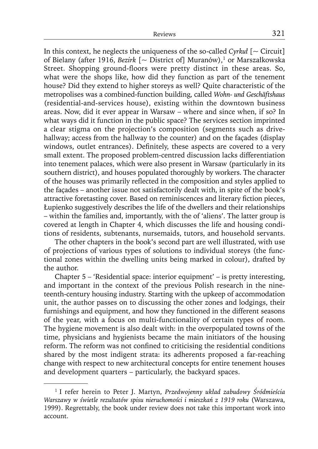In this context, he neglects the uniqueness of the so-called *Cyrkuł* [~ Circuit] of Bielany (after 1916, *Bezirk* [~ District of] Muranów),<sup>1</sup> or Marszałkowska Street. Shopping ground-floors were pretty distinct in these areas. So, what were the shops like, how did they function as part of the tenement house? Did they extend to higher storeys as well? Quite characteristic of the metropolises was a combined-function building, called *Wohn- und Geschäftshaus* (residential-and-services house), existing within the downtown business areas. Now, did it ever appear in Warsaw – where and since when, if so? In what ways did it function in the public space? The services section imprinted a clear stigma on the projection's composition (segments such as drivehallway; access from the hallway to the counter) and on the façades (display windows, outlet entrances). Definitely, these aspects are covered to a very small extent. The proposed problem-centred discussion lacks differentiation into tenement palaces, which were also present in Warsaw (particularly in its southern district), and houses populated thoroughly by workers. The character of the houses was primarily reflected in the composition and styles applied to the façades – another issue not satisfactorily dealt with, in spite of the book's attractive foretasting cover. Based on reminiscences and literary fiction pieces, Łupienko suggestively describes the life of the dwellers and their relationships – within the families and, importantly, with the of 'aliens'. The latter group is covered at length in Chapter 4, which discusses the life and housing conditions of residents, subtenants, nursemaids, tutors, and household servants.

The other chapters in the book's second part are well illustrated, with use of projections of various types of solutions to individual storeys (the functional zones within the dwelling units being marked in colour), drafted by the author.

Chapter 5 – 'Residential space: interior equipment' – is pretty interesting, and important in the context of the previous Polish research in the nineteenth-century housing industry. Starting with the upkeep of accommodation unit, the author passes on to discussing the other zones and lodgings, their furnishings and equipment, and how they functioned in the different seasons of the year, with a focus on multi-functionality of certain types of room. The hygiene movement is also dealt with: in the overpopulated towns of the time, physicians and hygienists became the main initiators of the housing reform. The reform was not confined to criticising the residential conditions shared by the most indigent strata: its adherents proposed a far-reaching change with respect to new architectural concepts for entire tenement houses and development quarters – particularly, the backyard spaces.

<sup>1</sup> I refer herein to Peter J. Martyn, *Przedwojenny układ zabudowy Śródmieścia Warszawy w świetle rezultatów spisu nieruchomości i mieszkań z 1919 roku* (Warszawa, 1999). Regrettably, the book under review does not take this important work into account.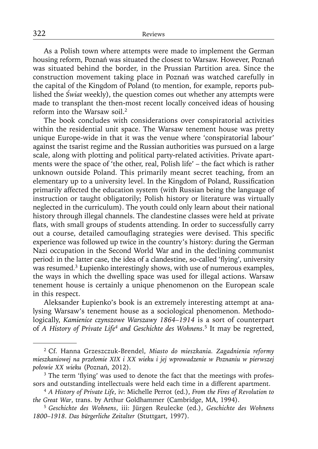As a Polish town where attempts were made to implement the German housing reform, Poznań was situated the closest to Warsaw. However, Poznań was situated behind the border, in the Prussian Partition area. Since the construction movement taking place in Poznań was watched carefully in the capital of the Kingdom of Poland (to mention, for example, reports published the *Świat* weekly), the question comes out whether any attempts were made to transplant the then-most recent locally conceived ideas of housing reform into the Warsaw soil.2

The book concludes with considerations over conspiratorial activities within the residential unit space. The Warsaw tenement house was pretty unique Europe-wide in that it was the venue where 'conspiratorial labour' against the tsarist regime and the Russian authorities was pursued on a large scale, along with plotting and political party-related activities. Private apartments were the space of 'the other, real, Polish life' – the fact which is rather unknown outside Poland. This primarily meant secret teaching, from an elementary up to a university level. In the Kingdom of Poland, Russification primarily affected the education system (with Russian being the language of instruction or taught obligatorily; Polish history or literature was virtually neglected in the curriculum). The youth could only learn about their national history through illegal channels. The clandestine classes were held at private flats, with small groups of students attending. In order to successfully carry out a course, detailed camouflaging strategies were devised. This specific experience was followed up twice in the country's history: during the German Nazi occupation in the Second World War and in the declining communist period: in the latter case, the idea of a clandestine, so-called 'flying', university was resumed.<sup>3</sup> Łupienko interestingly shows, with use of numerous examples, the ways in which the dwelling space was used for illegal actions. Warsaw tenement house is certainly a unique phenomenon on the European scale in this respect.

Aleksander Łupienko's book is an extremely interesting attempt at analysing Warsaw's tenement house as a sociological phenomenon. Methodologically, *Kamienice czynszowe Warszawy 1864–1914* is a sort of counterpart of *A History of Private Life4 and Geschichte des Wohnens*. 5 It may be regretted,

<sup>2</sup> Cf. Hanna Grzeszczuk-Brendel, *Miasto do mieszkania. Zagadnienia reformy mieszkaniowej na przełomie XIX i XX wieku i jej wprowadzenie w Poznaniu w pierwszej połowie XX wieku* (Poznań, 2012).

<sup>&</sup>lt;sup>3</sup> The term 'flying' was used to denote the fact that the meetings with professors and outstanding intellectuals were held each time in a different apartment.

<sup>4</sup>*A History of Private Life*, iv: Michelle Perrot (ed.), *From the Fires of Revolution to the Great War*, trans. by Arthur Goldhammer (Cambridge, MA, 1994).

<sup>5</sup>*Geschichte des Wohnens*, iii: Jürgen Reulecke (ed.), *Geschichte des Wohnens 1800–1918*. *Das bürgerliche Zeitalter* (Stuttgart, 1997).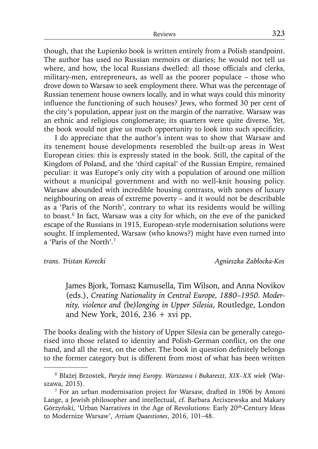though, that the Łupienko book is written entirely from a Polish standpoint. The author has used no Russian memoirs or diaries; he would not tell us where, and how, the local Russians dwelled: all those officials and clerks, military-men, entrepreneurs, as well as the poorer populace – those who drove down to Warsaw to seek employment there. What was the percentage of Russian tenement house owners locally, and in what ways could this minority influence the functioning of such houses? Jews, who formed 30 per cent of the city's population, appear just on the margin of the narrative. Warsaw was an ethnic and religious conglomerate; its quarters were quite diverse. Yet, the book would not give us much opportunity to look into such specificity.

I do appreciate that the author's intent was to show that Warsaw and its tenement house developments resembled the built-up areas in West European cities: this is expressly stated in the book. Still, the capital of the Kingdom of Poland, and the 'third capital' of the Russian Empire, remained peculiar: it was Europe's only city with a population of around one million without a municipal government and with no well-knit housing policy. Warsaw abounded with incredible housing contrasts, with zones of luxury neighbouring on areas of extreme poverty – and it would not be describable as a 'Paris of the North', contrary to what its residents would be willing to boast.<sup>6</sup> In fact, Warsaw was a city for which, on the eve of the panicked escape of the Russians in 1915, European-style modernisation solutions were sought. If implemented, Warsaw (who knows?) might have even turned into a 'Paris of the North'.7

*trans. Tristan Korecki Agnieszka Zabłocka-Kos*

James Bjork, Tomasz Kamusella, Tim Wilson, and Anna Novikov (eds.), *Creating Nationality in Central Europe, 1880–1950. Modernity, violence and (be)longing in Upper Silesia*, Routledge, London and New York, 2016, 236  $+$  xvi pp.

The books dealing with the history of Upper Silesia can be generally categorised into those related to identity and Polish-German conflict, on the one hand, and all the rest, on the other. The book in question definitely belongs to the former category but is different from most of what has been written

<sup>6</sup> Błażej Brzostek, *Paryże innej Europy. Warszawa i Bukareszt, XIX–XX wiek* (Warszawa, 2015).

<sup>7</sup> For an urban modernisation project for Warsaw, drafted in 1906 by Antoni Lange, a Jewish philosopher and intellectual, cf. Barbara Arciszewska and Makary Górzyński, 'Urban Narratives in the Age of Revolutions: Early 20th-Century Ideas to Modernize Warsaw', *Artium Quaestiones*, 2016, 101–48.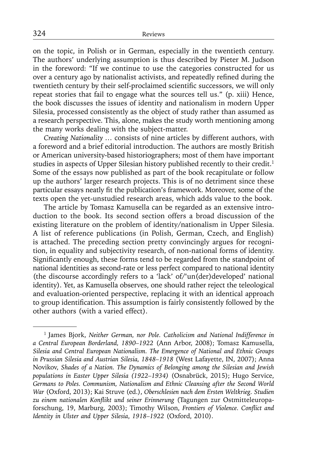on the topic, in Polish or in German, especially in the twentieth century. The authors' underlying assumption is thus described by Pieter M. Judson in the foreword: "If we continue to use the categories constructed for us over a century ago by nationalist activists, and repeatedly refined during the twentieth century by their self-proclaimed scientific successors, we will only repeat stories that fail to engage what the sources tell us." (p. xiii) Hence, the book discusses the issues of identity and nationalism in modern Upper Silesia, processed consistently as the object of study rather than assumed as a research perspective. This, alone, makes the study worth mentioning among the many works dealing with the subject-matter.

*Creating Nationality …* consists of nine articles by different authors, with a foreword and a brief editorial introduction. The authors are mostly British or American university-based historiographers; most of them have important studies in aspects of Upper Silesian history published recently to their credit.<sup>1</sup> Some of the essays now published as part of the book recapitulate or follow up the authors' larger research projects. This is of no detriment since these particular essays neatly fit the publication's framework. Moreover, some of the texts open the yet-unstudied research areas, which adds value to the book.

The article by Tomasz Kamusella can be regarded as an extensive introduction to the book. Its second section offers a broad discussion of the existing literature on the problem of identity/nationalism in Upper Silesia. A list of reference publications (in Polish, German, Czech, and English) is attached. The preceding section pretty convincingly argues for recognition, in equality and subjectivity research, of non-national forms of identity. Significantly enough, these forms tend to be regarded from the standpoint of national identities as second-rate or less perfect compared to national identity (the discourse accordingly refers to a 'lack' of/'un(der)developed' national identity). Yet, as Kamusella observes, one should rather reject the teleological and evaluation-oriented perspective, replacing it with an identical approach to group identification. This assumption is fairly consistently followed by the other authors (with a varied effect).

<sup>1</sup> James Bjork, *Neither German, nor Pole. Catholicism and National Indifference in a Central European Borderland, 1890–1922* (Ann Arbor, 2008); Tomasz Kamusella, *Silesia and Central European Nationalism. The Emergence of National and Ethnic Groups in Prussian Silesia and Austrian Silesia, 1848–1918* (West Lafayette, IN, 2007); Anna Novikov, *Shades of a Nation. The Dynamics of Belonging among the Silesian and Jewish populations in Easter Upper Silesia (1922–1934)* (Osnabrück, 2015); Hugo Service, *Germans to Poles. Communism, Nationalism and Ethnic Cleansing after the Second World War* (Oxford, 2013); Kai Struve (ed.), *Oberschlesien nach dem Ersten Weltkrieg. Studien*  zu einem nationalen Konflikt und seiner Erinnerung (Tagungen zur Ostmitteleuropaforschung, 19, Marburg, 2003); Timothy Wilson, Frontiers of Violence. Conflict and *Identity in Ulster and Upper Silesia*, *1918–1922* (Oxford, 2010).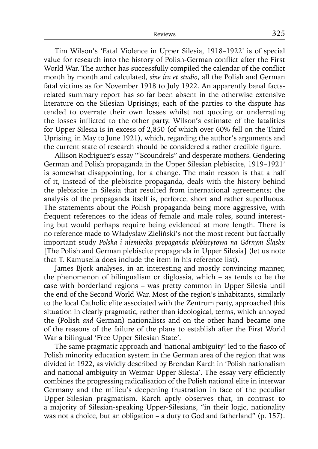Tim Wilson's 'Fatal Violence in Upper Silesia, 1918–1922' is of special value for research into the history of Polish-German conflict after the First World War. The author has successfully compiled the calendar of the conflict month by month and calculated, *sine ira et studio*, all the Polish and German fatal victims as for November 1918 to July 1922. An apparently banal factsrelated summary report has so far been absent in the otherwise extensive literature on the Silesian Uprisings; each of the parties to the dispute has tended to overrate their own losses whilst not quoting or underrating the losses inflicted to the other party. Wilson's estimate of the fatalities for Upper Silesia is in excess of 2,850 (of which over 60% fell on the Third Uprising, in May to June 1921), which, regarding the author's arguments and the current state of research should be considered a rather credible figure.

Allison Rodriguez's essay '"Scoundrels" and desperate mothers. Gendering German and Polish propaganda in the Upper Silesian plebiscite, 1919–1921' is somewhat disappointing, for a change. The main reason is that a half of it, instead of the plebiscite propaganda, deals with the history behind the plebiscite in Silesia that resulted from international agreements; the analysis of the propaganda itself is, perforce, short and rather superfluous. The statements about the Polish propaganda being more aggressive, with frequent references to the ideas of female and male roles, sound interesting but would perhaps require being evidenced at more length. There is no reference made to Władysław Zieliński's not the most recent but factually important study *Polska i niemiecka propaganda plebiscytowa na Górnym Śląsku*  [The Polish and German plebiscite propaganda in Upper Silesia] (let us note that T. Kamusella does include the item in his reference list).

James Bjork analyses, in an interesting and mostly convincing manner, the phenomenon of bilingualism or diglossia, which – as tends to be the case with borderland regions – was pretty common in Upper Silesia until the end of the Second World War. Most of the region's inhabitants, similarly to the local Catholic elite associated with the Zentrum party, approached this situation in clearly pragmatic, rather than ideological, terms, which annoyed the (Polish *and* German) nationalists and on the other hand became one of the reasons of the failure of the plans to establish after the First World War a bilingual 'Free Upper Silesian State'.

The same pragmatic approach and 'national ambiguity' led to the fiasco of Polish minority education system in the German area of the region that was divided in 1922, as vividly described by Brendan Karch in 'Polish nationalism and national ambiguity in Weimar Upper Silesia'. The essay very efficiently combines the progressing radicalisation of the Polish national elite in interwar Germany and the milieu's deepening frustration in face of the peculiar Upper-Silesian pragmatism. Karch aptly observes that, in contrast to a majority of Silesian-speaking Upper-Silesians, "in their logic, nationality was not a choice, but an obligation – a duty to God and fatherland" (p. 157).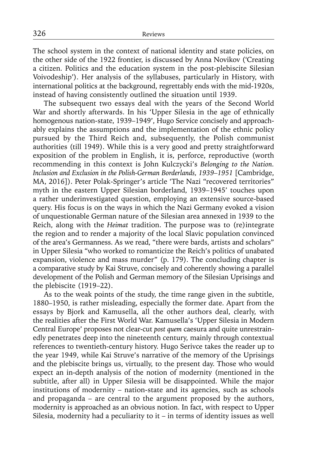The school system in the context of national identity and state policies, on the other side of the 1922 frontier, is discussed by Anna Novikov ('Creating a citizen. Politics and the education system in the post-plebiscite Silesian Voivodeship'). Her analysis of the syllabuses, particularly in History, with international politics at the background, regrettably ends with the mid-1920s, instead of having consistently outlined the situation until 1939.

The subsequent two essays deal with the years of the Second World War and shortly afterwards. In his 'Upper Silesia in the age of ethnically homogenous nation-state, 1939–1949', Hugo Service concisely and approachably explains the assumptions and the implementation of the ethnic policy pursued by the Third Reich and, subsequently, the Polish communist authorities (till 1949). While this is a very good and pretty straightforward exposition of the problem in English, it is, perforce, reproductive (worth recommending in this context is John Kulczycki's *Belonging to the Nation. Inclusion and Exclusion in the Polish-German Borderlands, 1939–1951* [Cambridge, MA, 2016]). Peter Polak-Springer's article 'The Nazi "recovered territories" myth in the eastern Upper Silesian borderland, 1939–1945' touches upon a rather underinvestigated question, employing an extensive source-based query. His focus is on the ways in which the Nazi Germany evoked a vision of unquestionable German nature of the Silesian area annexed in 1939 to the Reich, along with the *Heimat* tradition. The purpose was to (re)integrate the region and to render a majority of the local Slavic population convinced of the area's Germanness. As we read, "there were bards, artists and scholars" in Upper Silesia "who worked to romanticize the Reich's politics of unabated expansion, violence and mass murder" (p. 179). The concluding chapter is a comparative study by Kai Struve, concisely and coherently showing a parallel development of the Polish and German memory of the Silesian Uprisings and the plebiscite (1919–22).

As to the weak points of the study, the time range given in the subtitle, 1880–1950, is rather misleading, especially the former date. Apart from the essays by Bjork and Kamusella, all the other authors deal, clearly, with the realities after the First World War. Kamusella's 'Upper Silesia in Modern Central Europe' proposes not clear-cut *post quem* caesura and quite unrestrainedly penetrates deep into the nineteenth century, mainly through contextual references to twentieth-century history. Hugo Serivce takes the reader up to the year 1949, while Kai Struve's narrative of the memory of the Uprisings and the plebiscite brings us, virtually, to the present day. Those who would expect an in-depth analysis of the notion of modernity (mentioned in the subtitle, after all) in Upper Silesia will be disappointed. While the major institutions of modernity – nation-state and its agencies, such as schools and propaganda – are central to the argument proposed by the authors, modernity is approached as an obvious notion. In fact, with respect to Upper Silesia, modernity had a peculiarity to it – in terms of identity issues as well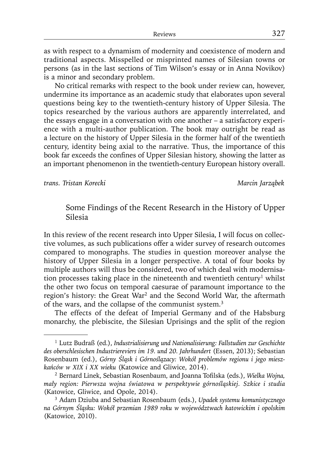as with respect to a dynamism of modernity and coexistence of modern and traditional aspects. Misspelled or misprinted names of Silesian towns or persons (as in the last sections of Tim Wilson's essay or in Anna Novikov) is a minor and secondary problem.

No critical remarks with respect to the book under review can, however, undermine its importance as an academic study that elaborates upon several questions being key to the twentieth-century history of Upper Silesia. The topics researched by the various authors are apparently interrelated, and the essays engage in a conversation with one another – a satisfactory experience with a multi-author publication. The book may outright be read as a lecture on the history of Upper Silesia in the former half of the twentieth century, identity being axial to the narrative. Thus, the importance of this book far exceeds the confines of Upper Silesian history, showing the latter as an important phenomenon in the twentieth-century European history overall.

*trans. Tristan Korecki Marcin Jarząbek*

## Some Findings of the Recent Research in the History of Upper Silesia

In this review of the recent research into Upper Silesia, I will focus on collective volumes, as such publications offer a wider survey of research outcomes compared to monographs. The studies in question moreover analyse the history of Upper Silesia in a longer perspective. A total of four books by multiple authors will thus be considered, two of which deal with modernisation processes taking place in the nineteenth and twentieth century<sup>1</sup> whilst the other two focus on temporal caesurae of paramount importance to the region's history: the Great War<sup>2</sup> and the Second World War, the aftermath of the wars, and the collapse of the communist system.3

The effects of the defeat of Imperial Germany and of the Habsburg monarchy, the plebiscite, the Silesian Uprisings and the split of the region

<sup>1</sup> Lutz Budraß (ed.), *Industrialisierung und Nationalisierung: Fallstudien zur Geschichte des oberschlesischen Industriereviers im 19. und 20. Jahrhundert* (Essen, 2013); Sebastian Rosenbaum (ed.), *Górny Śląsk i Górnoślązacy: Wokół problemów regionu i jego mieszkańców w XIX i XX wieku* (Katowice and Gliwice, 2014).

<sup>&</sup>lt;sup>2</sup> Bernard Linek, Sebastian Rosenbaum, and Joanna Tofilska (eds.), *Wielka Wojna*, *mały region: Pierwsza wojna światowa w perspektywie górnośląskiej. Szkice i studia* (Katowice, Gliwice, and Opole, 2014).

<sup>3</sup> Adam Dziuba and Sebastian Rosenbaum (eds.), *Upadek systemu komunistycznego na Górnym Śląsku: Wokół przemian 1989 roku w województwach katowickim i opolskim*  (Katowice, 2010).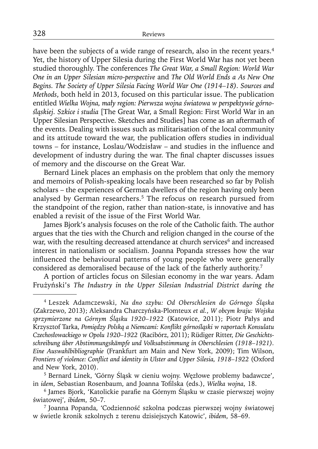have been the subjects of a wide range of research, also in the recent years.<sup>4</sup> Yet, the history of Upper Silesia during the First World War has not yet been studied thoroughly. The conferences *The Great War, a Small Region: World War One in an Upper Silesian micro-perspective* and *The Old World Ends a As New One Begins. The Society of Upper Silesia Facing World War One (1914–18). Sources and Methods*, both held in 2013, focused on this particular issue. The publication entitled *Wielka Wojna, mały region: Pierwsza wojna światowa w perspektywie górnośląskiej. Szkice i studia* [The Great War, a Small Region: First World War in an Upper Silesian Perspective. Sketches and Studies] has come as an aftermath of the events. Dealing with issues such as militarisation of the local community and its attitude toward the war, the publication offers studies in individual towns – for instance, Loslau/Wodzisław – and studies in the influence and development of industry during the war. The final chapter discusses issues of memory and the discourse on the Great War.

Bernard Linek places an emphasis on the problem that only the memory and memoirs of Polish-speaking locals have been researched so far by Polish scholars – the experiences of German dwellers of the region having only been analysed by German researchers.5 The refocus on research pursued from the standpoint of the region, rather than nation-state, is innovative and has enabled a revisit of the issue of the First World War.

James Bjork's analysis focuses on the role of the Catholic faith. The author argues that the ties with the Church and religion changed in the course of the war, with the resulting decreased attendance at church services<sup>6</sup> and increased interest in nationalism or socialism. Joanna Popanda stresses how the war influenced the behavioural patterns of young people who were generally considered as demoralised because of the lack of the fatherly authority.7

A portion of articles focus on Silesian economy in the war years. Adam Frużyński's *The Industry in the Upper Silesian Industrial District during the* 

<sup>4</sup> Leszek Adamczewski, *Na dno szybu: Od Oberschlesien do Górnego Śląska* (Zakrzewo, 2013); Aleksandra Charczyńska-Plomteux *et al.*, *W obcym kraju: Wojska sprzymierzone na Górnym Śląsku 1920–1922* (Katowice, 2011); Piotr Pałys and Krzysztof Tarka, *Pomiędzy Polską a Niemcami: Konfl ikt górnośląski w raportach Konsulatu Czechosłowackiego w Opolu 1920–1922* (Racibórz, 2011); Rüdiger Ritter, *Die Geschichtsschreibung über Abstimmungskämpfe und Volksabstimmung in Oberschlesien (1918–1921). Eine Auswahlbibliographie* (Frankfurt am Main and New York, 2009); Tim Wilson, *Frontiers of violence: Conflict and identity in Ulster and Upper Silesia, 1918–1922* (Oxford and New York, 2010).

<sup>5</sup> Bernard Linek, 'Górny Śląsk w cieniu wojny. Węzłowe problemy badawcze', in *idem*, Sebastian Rosenbaum, and Joanna Tofilska (eds.), *Wielka wojna*, 18.

<sup>&</sup>lt;sup>6</sup> James Bjork, 'Katolickie parafie na Górnym Śląsku w czasie pierwszej wojny światowej', *ibidem*, 50–7.

<sup>7</sup> Joanna Popanda, 'Codzienność szkolna podczas pierwszej wojny światowej w świetle kronik szkolnych z terenu dzisiejszych Katowic', *ibidem*, 58–69.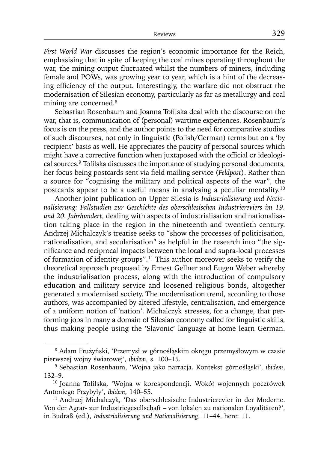*First World War* discusses the region's economic importance for the Reich, emphasising that in spite of keeping the coal mines operating throughout the war, the mining output fluctuated whilst the numbers of miners, including female and POWs, was growing year to year, which is a hint of the decreasing efficiency of the output. Interestingly, the warfare did not obstruct the modernisation of Silesian economy, particularly as far as metallurgy and coal mining are concerned.8

Sebastian Rosenbaum and Joanna Tofilska deal with the discourse on the war, that is, communication of (personal) wartime experiences. Rosenbaum's focus is on the press, and the author points to the need for comparative studies of such discourses, not only in linguistic (Polish/German) terms but on a 'by recipient' basis as well. He appreciates the paucity of personal sources which might have a corrective function when juxtaposed with the official or ideological sources.<sup>9</sup> Tofilska discusses the importance of studying personal documents, her focus being postcards sent via field mailing service (*Feldpost*). Rather than a source for "cognising the military and political aspects of the war", the postcards appear to be a useful means in analysing a peculiar mentality.10

Another joint publication on Upper Silesia is *Industrialisierung und Nationalisierung: Fallstudien zur Geschichte des oberschlesischen Industriereviers im 19. und 20. Jahrhundert*, dealing with aspects of industrialisation and nationalisation taking place in the region in the nineteenth and twentieth century. Andrzej Michalczyk's treatise seeks to "show the processes of politicisation, nationalisation, and secularisation" as helpful in the research into "the significance and reciprocal impacts between the local and supra-local processes of formation of identity groups".11 This author moreover seeks to verify the theoretical approach proposed by Ernest Gellner and Eugen Weber whereby the industrialisation process, along with the introduction of compulsory education and military service and loosened religious bonds, altogether generated a modernised society. The modernisation trend, according to those authors, was accompanied by altered lifestyle, centralisation, and emergence of a uniform notion of 'nation'. Michalczyk stresses, for a change, that performing jobs in many a domain of Silesian economy called for linguistic skills, thus making people using the 'Slavonic' language at home learn German.

<sup>8</sup> Adam Frużyński, 'Przemysł w górnośląskim okręgu przemysłowym w czasie pierwszej wojny światowej', *ibidem*, s. 100–15.

<sup>9</sup> Sebastian Rosenbaum, 'Wojna jako narracja. Kontekst górnośląski', *ibidem*, 132–9.

<sup>&</sup>lt;sup>10</sup> Joanna Tofilska, 'Wojna w korespondencji. Wokół wojennych pocztówek Antoniego Przybyły', *ibidem*, 140–55.

<sup>11</sup> Andrzej Michalczyk, 'Das oberschlesische Industrierevier in der Moderne. Von der Agrar- zur Industriegesellschaft – von lokalen zu nationalen Loyalitäten?', in Budraß (ed.), *Industrialisierung und Nationalisierung*, 11–44, here: 11.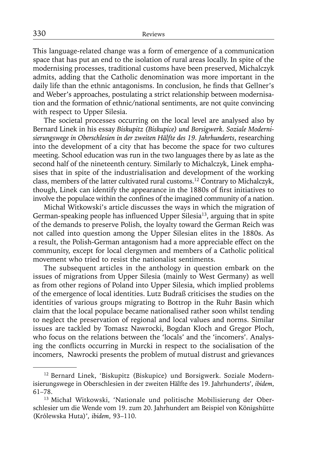This language-related change was a form of emergence of a communication space that has put an end to the isolation of rural areas locally. In spite of the modernising processes, traditional customs have been preserved, Michalczyk admits, adding that the Catholic denomination was more important in the daily life than the ethnic antagonisms. In conclusion, he finds that Gellner's and Weber's approaches, postulating a strict relationship between modernisation and the formation of ethnic/national sentiments, are not quite convincing with respect to Upper Silesia.

The societal processes occurring on the local level are analysed also by Bernard Linek in his essay *Biskupitz (Biskupice) und Borsigwerk. Soziale Modernisierungswege in Oberschlesien in der zweiten Hälfte des 19. Jahrhunderts*, researching into the development of a city that has become the space for two cultures meeting. School education was run in the two languages there by as late as the second half of the nineteenth century. Similarly to Michalczyk, Linek emphasises that in spite of the industrialisation and development of the working class, members of the latter cultivated rural customs.12 Contrary to Michalczyk, though, Linek can identify the appearance in the 1880s of first initiatives to involve the populace within the confines of the imagined community of a nation.

Michał Witkowski's article discusses the ways in which the migration of German-speaking people has influenced Upper Silesia<sup>13</sup>, arguing that in spite of the demands to preserve Polish, the loyalty toward the German Reich was not called into question among the Upper Silesian elites in the 1880s. As a result, the Polish-German antagonism had a more appreciable effect on the community, except for local clergymen and members of a Catholic political movement who tried to resist the nationalist sentiments.

The subsequent articles in the anthology in question embark on the issues of migrations from Upper Silesia (mainly to West Germany) as well as from other regions of Poland into Upper Silesia, which implied problems of the emergence of local identities. Lutz Budraß criticises the studies on the identities of various groups migrating to Bottrop in the Ruhr Basin which claim that the local populace became nationalised rather soon whilst tending to neglect the preservation of regional and local values and norms. Similar issues are tackled by Tomasz Nawrocki, Bogdan Kloch and Gregor Ploch, who focus on the relations between the 'locals' and the 'incomers'. Analysing the conflicts occurring in Murcki in respect to the socialisation of the incomers, Nawrocki presents the problem of mutual distrust and grievances

<sup>12</sup> Bernard Linek, 'Biskupitz (Biskupice) und Borsigwerk. Soziale Modernisierungswege in Oberschlesien in der zweiten Hälfte des 19. Jahrhunderts', *ibidem*, 61–78.

<sup>13</sup> Michał Witkowski, 'Nationale und politische Mobilisierung der Oberschlesier um die Wende vom 19. zum 20. Jahrhundert am Beispiel von Königshütte (Królewska Huta)', *ibidem*, 93–110.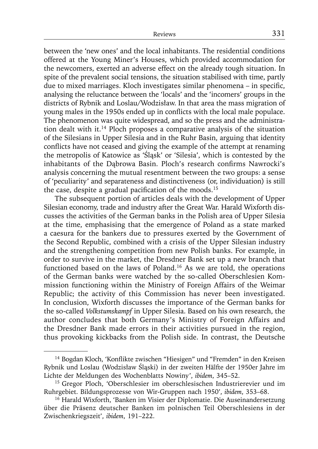between the 'new ones' and the local inhabitants. The residential conditions offered at the Young Miner's Houses, which provided accommodation for the newcomers, exerted an adverse effect on the already tough situation. In spite of the prevalent social tensions, the situation stabilised with time, partly due to mixed marriages. Kloch investigates similar phenomena – in specific, analysing the reluctance between the 'locals' and the 'incomers' groups in the districts of Rybnik and Loslau/Wodzisław. In that area the mass migration of young males in the 1950s ended up in conflicts with the local male populace. The phenomenon was quite widespread, and so the press and the administration dealt with it.14 Ploch proposes a comparative analysis of the situation of the Silesians in Upper Silesia and in the Ruhr Basin, arguing that identity conflicts have not ceased and giving the example of the attempt at renaming the metropolis of Katowice as 'Śląsk' or 'Silesia', which is contested by the inhabitants of the Dabrowa Basin. Ploch's research confirms Nawrocki's analysis concerning the mutual resentment between the two groups: a sense of 'peculiarity' and separateness and distinctiveness (or, individuation) is still the case, despite a gradual pacification of the moods.<sup>15</sup>

The subsequent portion of articles deals with the development of Upper Silesian economy, trade and industry after the Great War. Harald Wixforth discusses the activities of the German banks in the Polish area of Upper Silesia at the time, emphasising that the emergence of Poland as a state marked a caesura for the bankers due to pressures exerted by the Government of the Second Republic, combined with a crisis of the Upper Silesian industry and the strengthening competition from new Polish banks. For example, in order to survive in the market, the Dresdner Bank set up a new branch that functioned based on the laws of Poland.16 As we are told, the operations of the German banks were watched by the so-called Oberschlesien Kommission functioning within the Ministry of Foreign Affairs of the Weimar Republic; the activity of this Commission has never been investigated. In conclusion, Wixforth discusses the importance of the German banks for the so-called *Volks tumskampf* in Upper Silesia. Based on his own research, the author concludes that both Germany's Ministry of Foreign Affairs and the Dresdner Bank made errors in their activities pursued in the region, thus provoking kickbacks from the Polish side. In contrast, the Deutsche

<sup>&</sup>lt;sup>14</sup> Bogdan Kloch, 'Konflikte zwischen "Hiesigen" und "Fremden" in den Kreisen Rybnik und Loslau (Wodzisław Śląski) in der zweiten Hälfte der 1950er Jahre im Lichte der Meldungen des Wochenblatts Nowiny', *ibidem*, 345–52.

<sup>15</sup> Gregor Ploch, 'Oberschlesier im oberschlesischen Industrierevier und im Ruhrgebiet. Bildungsprozesse von Wir-Gruppen nach 1950', *ibidem*, 353–68.

<sup>&</sup>lt;sup>16</sup> Harald Wixforth, 'Banken im Visier der Diplomatie. Die Auseinandersetzung über die Präsenz deutscher Banken im polnischen Teil Oberschlesiens in der Zwischenkriegszeit', *ibidem*, 191–222.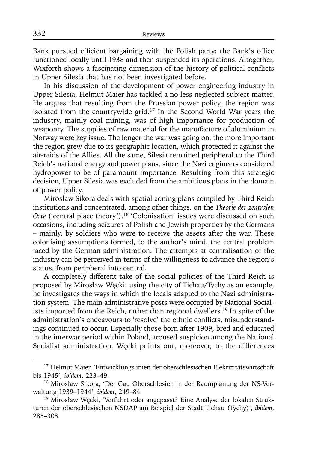Bank pursued efficient bargaining with the Polish party: the Bank's office functioned locally until 1938 and then suspended its operations. Altogether, Wixforth shows a fascinating dimension of the history of political conflicts in Upper Silesia that has not been investigated before.

In his discussion of the development of power engineering industry in Upper Silesia, Helmut Maier has tackled a no less neglected subject-matter. He argues that resulting from the Prussian power policy, the region was isolated from the countrywide grid.17 In the Second World War years the industry, mainly coal mining, was of high importance for production of weaponry. The supplies of raw material for the manufacture of aluminium in Norway were key issue. The longer the war was going on, the more important the region grew due to its geographic location, which protected it against the air-raids of the Allies. All the same, Silesia remained peripheral to the Third Reich's national energy and power plans, since the Nazi engineers considered hydropower to be of paramount importance. Resulting from this strategic decision, Upper Silesia was excluded from the ambitious plans in the domain of power policy.

Mirosław Sikora deals with spatial zoning plans compiled by Third Reich institutions and concentrated, among other things, on the *Theorie der zentralen Orte* ('central place theory').<sup>18</sup> 'Colonisation' issues were discussed on such occasions, including seizures of Polish and Jewish properties by the Germans – mainly, by soldiers who were to receive the assets after the war. These colonising assumptions formed, to the author's mind, the central problem faced by the German administration. The attempts at centralisation of the industry can be perceived in terms of the willingness to advance the region's status, from peripheral into central.

A completely different take of the social policies of the Third Reich is proposed by Mirosław Węcki: using the city of Tichau/Tychy as an example, he investigates the ways in which the locals adapted to the Nazi administration system. The main administrative posts were occupied by National Socialists imported from the Reich, rather than regional dwellers.19 In spite of the administration's endeavours to 'resolve' the ethnic conflicts, misunderstandings continued to occur. Especially those born after 1909, bred and educated in the interwar period within Poland, aroused suspicion among the National Socialist administration. Węcki points out, moreover, to the differences

<sup>&</sup>lt;sup>17</sup> Helmut Maier, 'Entwicklungslinien der oberschlesischen Elekrizitätswirtschaft bis 1945', *ibidem*, 223–49.

<sup>18</sup> Mirosław Sikora, 'Der Gau Oberschlesien in der Raumplanung der NS-Verwaltung 1939–1944', *ibidem*, 249–84.

<sup>&</sup>lt;sup>19</sup> Mirosław Węcki, 'Verführt oder angepasst? Eine Analyse der lokalen Strukturen der oberschlesischen NSDAP am Beispiel der Stadt Tichau (Tychy)', *ibidem*, 285–308.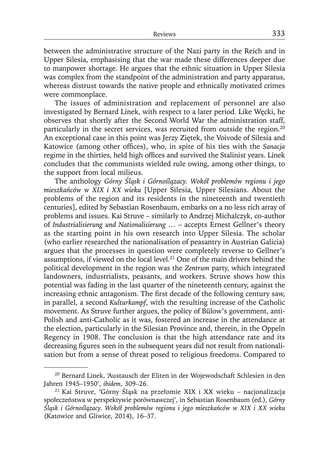between the administrative structure of the Nazi party in the Reich and in Upper Silesia, emphasising that the war made these differences deeper due to manpower shortage. He argues that the ethnic situation in Upper Silesia was complex from the standpoint of the administration and party apparatus, whereas distrust towards the native people and ethnically motivated crimes were commonplace.

The issues of administration and replacement of personnel are also investigated by Bernard Linek, with respect to a later period. Like Węcki, he observes that shortly after the Second World War the administration staff, particularly in the secret services, was recruited from outside the region.<sup>20</sup> An exceptional case in this point was Jerzy Ziętek, the Voivode of Silesia and Katowice (among other offices), who, in spite of his ties with the *Sanacja* regime in the thirties, held high offices and survived the Stalinist years. Linek concludes that the communists wielded rule owing, among other things, to the support from local milieus.

The anthology *Górny Śląsk i Górnoślązacy. Wokół problemów regionu i jego mieszkańców w XIX i XX wieku* [Upper Silesia, Upper Silesians. About the problems of the region and its residents in the nineteenth and twentieth centuries], edited by Sebastian Rosenbaum, embarks on a no less rich array of problems and issues. Kai Struve – similarly to Andrzej Michalczyk, co-author of *Industrialisierung und Nationalisierung …* – accepts Ernest Gellner's theory as the starting point in his own research into Upper Silesia. The scholar (who earlier researched the nationalisation of peasantry in Austrian Galicia) argues that the processes in question were completely reverse to Gellner's assumptions, if viewed on the local level.<sup>21</sup> One of the main drivers behind the political development in the region was the *Zentrum* party, which integrated landowners, industrialists, peasants, and workers. Struve shows how this potential was fading in the last quarter of the nineteenth century, against the increasing ethnic antagonism. The first decade of the following century saw, in parallel, a second *Kulturkampf*, with the resulting increase of the Catholic movement. As Struve further argues, the policy of Bülow's government, anti-Polish and anti-Catholic as it was, fostered an increase in the attendance at the election, particularly in the Silesian Province and, therein, in the Oppeln Regency in 1908. The conclusion is that the high attendance rate and its decreasing figures seen in the subsequent years did not result from nationalisation but from a sense of threat posed to religious freedoms. Compared to

<sup>&</sup>lt;sup>20</sup> Bernard Linek, 'Austausch der Eliten in der Wojewodschaft Schlesien in den Jahren 1945–1950', *ibidem*, 309–26.

<sup>21</sup> Kai Struve, 'Górny Śląsk na przełomie XIX i XX wieku – nacjonalizacja społeczeństwa w perspektywie porównawczej', in Sebastian Rosenbaum (ed.), *Górny Śląsk i Górnoślązacy. Wokół problemów regionu i jego mieszkańców w XIX i XX wieku* (Katowice and Gliwice, 2014), 16–37.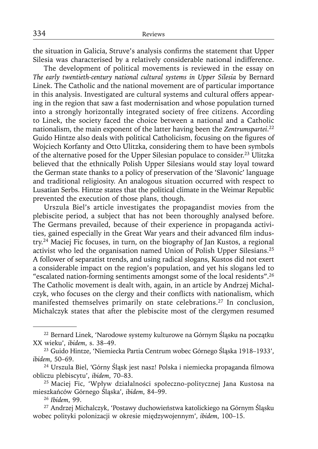the situation in Galicia, Struve's analysis confirms the statement that Upper Silesia was characterised by a relatively considerable national indifference.

The development of political movements is reviewed in the essay on *The early twentieth-century national cultural systems in Upper Silesia* by Bernard Linek. The Catholic and the national movement are of particular importance in this analysis. Investigated are cultural systems and cultural offers appearing in the region that saw a fast modernisation and whose population turned into a strongly horizontally integrated society of free citizens. According to Linek, the society faced the choice between a national and a Catholic nationalism, the main exponent of the latter having been the *Zentrumspartei*. 22 Guido Hintze also deals with political Catholicism, focusing on the figures of Wojciech Korfanty and Otto Ulitzka, considering them to have been symbols of the alternative posed for the Upper Silesian populace to consider.23 Ulitzka believed that the ethnically Polish Upper Silesians would stay loyal toward the German state thanks to a policy of preservation of the 'Slavonic' language and traditional religiosity. An analogous situation occurred with respect to Lusatian Serbs. Hintze states that the political climate in the Weimar Republic prevented the execution of those plans, though.

Urszula Biel's article investigates the propagandist movies from the plebiscite period, a subject that has not been thoroughly analysed before. The Germans prevailed, because of their experience in propaganda activities, gained especially in the Great War years and their advanced film industry.24 Maciej Fic focuses, in turn, on the biography of Jan Kustos, a regional activist who led the organisation named Union of Polish Upper Silesians.25 A follower of separatist trends, and using radical slogans, Kustos did not exert a considerable impact on the region's population, and yet his slogans led to "escalated nation-forming sentiments amongst some of the local residents".26 The Catholic movement is dealt with, again, in an article by Andrzej Michalczyk, who focuses on the clergy and their conflicts with nationalism, which manifested themselves primarily on state celebrations.<sup>27</sup> In conclusion, Michalczyk states that after the plebiscite most of the clergymen resumed

<sup>22</sup> Bernard Linek, 'Narodowe systemy kulturowe na Górnym Śląsku na początku XX wieku', *ibidem*, s. 38–49.

<sup>23</sup> Guido Hintze, 'Niemiecka Partia Centrum wobec Górnego Śląska 1918–1933', *ibidem*, 50–69.

<sup>&</sup>lt;sup>24</sup> Urszula Biel, 'Górny Śląsk jest nasz! Polska i niemiecka propaganda filmowa obliczu plebiscytu', *ibidem*, 70–83.

<sup>25</sup> Maciej Fic, 'Wpływ działalności społeczno-politycznej Jana Kustosa na mieszkańców Górnego Śląska', *ibidem*, 84–99.

<sup>26</sup>*Ibidem*, 99.

<sup>27</sup> Andrzej Michalczyk, 'Postawy duchowieństwa katolickiego na Górnym Śląsku wobec polityki polonizacji w okresie międzywojennym', *ibidem*, 100–15.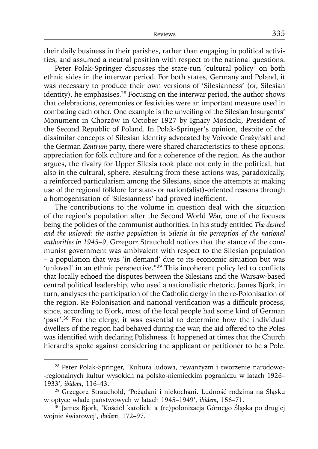their daily business in their parishes, rather than engaging in political activities, and assumed a neutral position with respect to the national questions.

Peter Polak-Springer discusses the state-run 'cultural policy' on both ethnic sides in the interwar period. For both states, Germany and Poland, it was necessary to produce their own versions of 'Silesianness' (or, Silesian identity), he emphasises.<sup>28</sup> Focusing on the interwar period, the author shows that celebrations, ceremonies or festivities were an important measure used in combating each other. One example is the unveiling of the Silesian Insurgents' Monument in Chorzów in October 1927 by Ignacy Mościcki, President of the Second Republic of Poland. In Polak-Springer's opinion, despite of the dissimilar concepts of Silesian identity advocated by Voivode Grażyński and the German *Zentrum* party, there were shared characteristics to these options: appreciation for folk culture and for a coherence of the region. As the author argues, the rivalry for Upper Silesia took place not only in the political, but also in the cultural, sphere. Resulting from these actions was, paradoxically, a reinforced particularism among the Silesians, since the attempts at making use of the regional folklore for state- or nation(alist)-oriented reasons through a homogenisation of 'Silesianness' had proved inefficient.

The contributions to the volume in question deal with the situation of the region's population after the Second World War, one of the focuses being the policies of the communist authorities. In his study entitled *The desired and the unloved: the native population in Silesia in the perception of the national authorities in 1945–9*, Grzegorz Strauchold notices that the stance of the communist government was ambivalent with respect to the Silesian population – a population that was 'in demand' due to its economic situation but was 'unloved' in an ethnic perspective." $29$  This incoherent policy led to conflicts that locally echoed the disputes between the Silesians and the Warsaw-based central political leadership, who used a nationalistic rhetoric. James Bjork, in turn, analyses the participation of the Catholic clergy in the re-Polonisation of the region. Re-Polonisation and national verification was a difficult process, since, according to Bjork, most of the local people had some kind of German 'past'.30 For the clergy, it was essential to determine how the individual dwellers of the region had behaved during the war; the aid offered to the Poles was identified with declaring Polishness. It happened at times that the Church hierarchs spoke against considering the applicant or petitioner to be a Pole.

<sup>28</sup> Peter Polak-Springer, 'Kultura ludowa, rewanżyzm i tworzenie narodowo- -regionalnych kultur wysokich na polsko-niemieckim pograniczu w latach 1926– 1933', *ibidem*, 116–43.

<sup>29</sup> Grzegorz Strauchold, 'Pożądani i niekochani. Ludność rodzima na Śląsku w optyce władz państwowych w latach 1945–1949', *ibidem*, 156–71.

<sup>30</sup> James Bjork, 'Kościół katolicki a (re)polonizacja Górnego Śląska po drugiej wojnie światowej', *ibidem*, 172–97.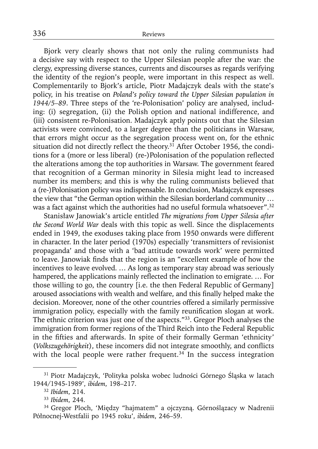Bjork very clearly shows that not only the ruling communists had a decisive say with respect to the Upper Silesian people after the war: the clergy, expressing diverse stances, currents and discourses as regards verifying the identity of the region's people, were important in this respect as well. Complementarily to Bjork's article, Piotr Madajczyk deals with the state's policy, in his treatise on *Poland's policy toward the Upper Silesian population in 1944/5–89*. Three steps of the 're-Polonisation' policy are analysed, including: (i) segregation, (ii) the Polish option and national indifference, and (iii) consistent re-Polonisation. Madajczyk aptly points out that the Silesian activists were convinced, to a larger degree than the politicians in Warsaw, that errors might occur as the segregation process went on, for the ethnic situation did not directly reflect the theory.<sup>31</sup> After October 1956, the conditions for a (more or less liberal) (re-)Polonisation of the population reflected the alterations among the top authorities in Warsaw. The government feared that recognition of a German minority in Silesia might lead to increased number its members; and this is why the ruling communists believed that a (re-)Polonisation policy was indispensable. In conclusion, Madajczyk expresses the view that "the German option within the Silesian borderland community … was a fact against which the authorities had no useful formula whatsoever".<sup>32</sup>

Stanisław Janowiak's article entitled *The migrations from Upper Silesia after the Second World War* deals with this topic as well. Since the displacements ended in 1949, the exoduses taking place from 1950 onwards were different in character. In the later period (1970s) especially 'transmitters of revisionist propaganda' and those with a 'bad attitude towards work' were permitted to leave. Janowiak finds that the region is an "excellent example of how the incentives to leave evolved. … As long as temporary stay abroad was seriously hampered, the applications mainly reflected the inclination to emigrate. ... For those willing to go, the country [i.e. the then Federal Republic of Germany] aroused associations with wealth and welfare, and this finally helped make the decision. Moreover, none of the other countries offered a similarly permissive immigration policy, especially with the family reunification slogan at work. The ethnic criterion was just one of the aspects."33. Gregor Ploch analyses the immigration from former regions of the Third Reich into the Federal Republic in the fifties and afterwards. In spite of their formally German 'ethnicity' (*Volkszugehörigkeit*), these incomers did not integrate smoothly, and conflicts with the local people were rather frequent. $34$  In the success integration

<sup>31</sup> Piotr Madajczyk, 'Polityka polska wobec ludności Górnego Śląska w latach 1944/1945-1989', *ibidem*, 198–217.

<sup>32</sup>*Ibidem*, 214.

<sup>33</sup>*Ibidem*, 244.

<sup>34</sup> Gregor Ploch, 'Między "hajmatem" a ojczyzną. Górnoślązacy w Nadrenii Północnej-Westfalii po 1945 roku', *ibidem*, 246–59.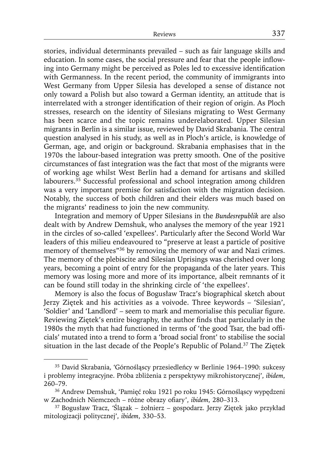stories, individual determinants prevailed – such as fair language skills and education. In some cases, the social pressure and fear that the people inflowing into Germany might be perceived as Poles led to excessive identification with Germanness. In the recent period, the community of immigrants into West Germany from Upper Silesia has developed a sense of distance not only toward a Polish but also toward a German identity, an attitude that is interrelated with a stronger identification of their region of origin. As Ploch stresses, research on the identity of Silesians migrating to West Germany has been scarce and the topic remains underelaborated. Upper Silesian migrants in Berlin is a similar issue, reviewed by David Skrabania. The central question analysed in his study, as well as in Ploch's article, is knowledge of German, age, and origin or background. Skrabania emphasises that in the 1970s the labour-based integration was pretty smooth. One of the positive circumstances of fast integration was the fact that most of the migrants were of working age whilst West Berlin had a demand for artisans and skilled labourers.<sup>35</sup> Successful professional and school integration among children was a very important premise for satisfaction with the migration decision. Notably, the success of both children and their elders was much based on the migrants' readiness to join the new community.

Integration and memory of Upper Silesians in the *Bundesrepublik* are also dealt with by Andrew Demshuk, who analyses the memory of the year 1921 in the circles of so-called 'expellees'. Particularly after the Second World War leaders of this milieu endeavoured to "preserve at least a particle of positive memory of themselves"<sup>36</sup> by removing the memory of war and Nazi crimes. The memory of the plebiscite and Silesian Uprisings was cherished over long years, becoming a point of entry for the propaganda of the later years. This memory was losing more and more of its importance, albeit remnants of it can be found still today in the shrinking circle of 'the expellees'.

Memory is also the focus of Bogusław Tracz's biographical sketch about Jerzy Ziętek and his activities as a voivode. Three keywords – 'Silesian', 'Soldier' and 'Landlord' – seem to mark and memorialise this peculiar figure. Reviewing Ziętek's entire biography, the author finds that particularly in the 1980s the myth that had functioned in terms of 'the good Tsar, the bad officials' mutated into a trend to form a 'broad social front' to stabilise the social situation in the last decade of the People's Republic of Poland.37 The Ziętek

<sup>35</sup> David Skrabania, 'Górnośląscy przesiedleńcy w Berlinie 1964–1990: sukcesy i problemy integracyjne. Próba zbliżenia z perspektywy mikrohistorycznej', *ibidem*, 260–79.

<sup>36</sup> Andrew Demshuk, 'Pamięć roku 1921 po roku 1945: Górnośląscy wypędzeni w Zachodnich Niemczech – różne obrazy ofiary', *ibidem*, 280-313.

<sup>37</sup> Bogusław Tracz, 'Ślązak – żołnierz – gospodarz. Jerzy Ziętek jako przykład mitologizacji politycznej', *ibidem*, 330–53.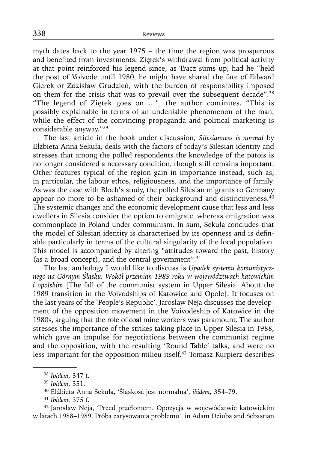myth dates back to the year 1975 – the time the region was prosperous and benefited from investments. Ziętek's withdrawal from political activity at that point reinforced his legend since, as Tracz sums up, had he "held the post of Voivode until 1980, he might have shared the fate of Edward Gierek or Zdzisław Grudzień, with the burden of responsibility imposed on them for the crisis that was to prevail over the subsequent decade".38 "The legend of Ziętek goes on …", the author continues. "This is possibly explainable in terms of an undeniable phenomenon of the man, while the effect of the convincing propaganda and political marketing is considerable anyway."39

The last article in the book under discussion, *Silesianness is normal* by Elżbieta-Anna Sekuła, deals with the factors of today's Silesian identity and stresses that among the polled respondents the knowledge of the patois is no longer considered a necessary condition, though still remains important. Other features typical of the region gain in importance instead, such as, in particular, the labour ethos, religiousness, and the importance of family. As was the case with Bloch's study, the polled Silesian migrants to Germany appear no more to be ashamed of their background and distinctiveness.<sup>40</sup> The systemic changes and the economic development cause that less and less dwellers in Silesia consider the option to emigrate, whereas emigration was commonplace in Poland under communism. In sum, Sekuła concludes that the model of Silesian identity is characterised by its openness and is definable particularly in terms of the cultural singularity of the local population. This model is accompanied by altering "attitudes toward the past, history (as a broad concept), and the central government". $41$ 

The last anthology I would like to discuss is *Upadek systemu komunistycznego na Górnym Śląsku: Wokół przemian 1989 roku w województwach katowickim i opolskim* [The fall of the communist system in Upper Silesia. About the 1989 transition in the Voivodships of Katowice and Opole]. It focuses on the last years of the 'People's Republic'. Jarosław Neja discusses the development of the opposition movement in the Voivodeship of Katowice in the 1980s, arguing that the role of coal mine workers was paramount. The author stresses the importance of the strikes taking place in Upper Silesia in 1988, which gave an impulse for negotiations between the communist regime and the opposition, with the resulting 'Round Table' talks, and were no less important for the opposition milieu itself.42 Tomasz Kurpierz describes

42 Jarosław Neja, 'Przed przełomem. Opozycja w województwie katowickim w latach 1988–1989. Próba zarysowania problemu', in Adam Dziuba and Sebastian

<sup>38</sup>*Ibidem*, 347 f.

<sup>39</sup>*Ibidem*, 351.

<sup>40</sup> Elżbieta Anna Sekuła, 'Śląskość jest normalna', *ibidem*, 354–79.

<sup>41</sup>*Ibidem*, 375 f.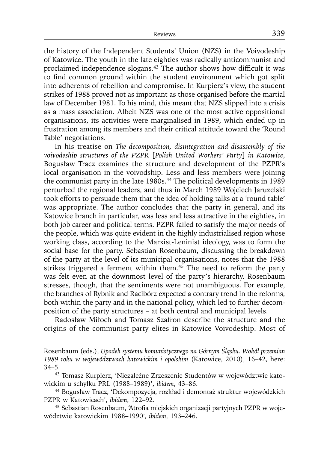the history of the Independent Students' Union (NZS) in the Voivodeship of Katowice. The youth in the late eighties was radically anticommunist and proclaimed independence slogans. $43$  The author shows how difficult it was to find common ground within the student environment which got split into adherents of rebellion and compromise. In Kurpierz's view, the student strikes of 1988 proved not as important as those organised before the martial law of December 1981. To his mind, this meant that NZS slipped into a crisis as a mass association. Albeit NZS was one of the most active oppositional organisations, its activities were marginalised in 1989, which ended up in frustration among its members and their critical attitude toward the 'Round Table' negotiations.

In his treatise on *The decomposition, disintegration and disassembly of the voivodeship structures of the PZPR* [*Polish United Workers' Party*] *in Katowice*, Bogusław Tracz examines the structure and development of the PZPR's local organisation in the voivodship. Less and less members were joining the communist party in the late 1980s.<sup>44</sup> The political developments in 1989 perturbed the regional leaders, and thus in March 1989 Wojciech Jaruzelski took efforts to persuade them that the idea of holding talks at a 'round table' was appropriate. The author concludes that the party in general, and its Katowice branch in particular, was less and less attractive in the eighties, in both job career and political terms. PZPR failed to satisfy the major needs of the people, which was quite evident in the highly industrialised region whose working class, according to the Marxist-Leninist ideology, was to form the social base for the party. Sebastian Rosenbaum, discussing the breakdown of the party at the level of its municipal organisations, notes that the 1988 strikes triggered a ferment within them.<sup>45</sup> The need to reform the party was felt even at the downmost level of the party's hierarchy. Rosenbaum stresses, though, that the sentiments were not unambiguous. For example, the branches of Rybnik and Racibórz expected a contrary trend in the reforms, both within the party and in the national policy, which led to further decomposition of the party structures – at both central and municipal levels.

Radosław Miłoch and Tomasz Szafron describe the structure and the origins of the communist party elites in Katowice Voivodeship. Most of

Rosenbaum (eds.), *Upadek systemu komunistycznego na Górnym Śląsku. Wokół przemian 1989 roku w województwach katowickim i opolskim* (Katowice, 2010), 16–42, here: 34–5.

<sup>43</sup> Tomasz Kurpierz, 'Niezależne Zrzeszenie Studentów w województwie katowickim u schyłku PRL (1988–1989)', *ibidem*, 43–86.

<sup>44</sup> Bogusław Tracz, 'Dekompozycja, rozkład i demontaż struktur wojewódzkich PZPR w Katowicach', *ibidem*, 122–92.

<sup>&</sup>lt;sup>45</sup> Sebastian Rosenbaum, 'Atrofia miejskich organizacji partyjnych PZPR w województwie katowickim 1988–1990', *ibidem*, 193–246.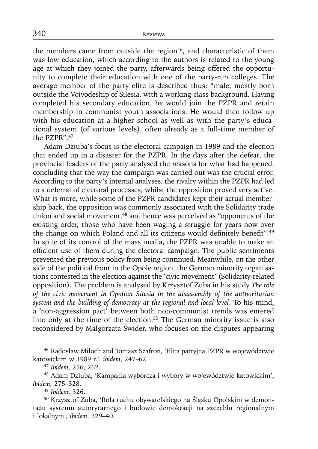the members came from outside the region $46$ , and characteristic of them was low education, which according to the authors is related to the young age at which they joined the party, afterwards being offered the opportunity to complete their education with one of the party-run colleges. The average member of the party elite is described thus: "male, mostly born outside the Voivodeship of Silesia, with a working-class background. Having completed his secondary education, he would join the PZPR and retain membership in communist youth associations. He would then follow up with his education at a higher school as well as with the party's educational system (of various levels), often already as a full-time member of the PZPR".<sup>47</sup>

Adam Dziuba's focus is the electoral campaign in 1989 and the election that ended up in a disaster for the PZPR. In the days after the defeat, the provincial leaders of the party analysed the reasons for what had happened, concluding that the way the campaign was carried out was the crucial error. According to the party's internal analyses, the rivalry within the PZPR had led to a deferral of electoral processes, whilst the opposition proved very active. What is more, while some of the PZPR candidates kept their actual membership back, the opposition was commonly associated with the Solidarity trade union and social movement,<sup>48</sup> and hence was perceived as "opponents of the existing order, those who have been waging a struggle for years now over the change on which Poland and all its citizens would definitely benefit".<sup>49</sup> In spite of its control of the mass media, the PZPR was unable to make an efficient use of them during the electoral campaign. The public sentiments prevented the previous policy from being continued. Meanwhile, on the other side of the political front in the Opole region, the German minority organisations contested in the election against the 'civic movement' (Solidarity-related opposition). The problem is analysed by Krzysztof Zuba in his study *The role of the civic movement in Opolian Silesia in the disassembly of the authoritarian system and the building of democracy at the regional and local level*. To his mind, a 'non-aggression pact' between both non-communist trends was entered into only at the time of the election.50 The German minority issue is also reconsidered by Małgorzata Świder, who focuses on the disputes appearing

<sup>46</sup> Radosław Miłoch and Tomasz Szafron, 'Elita partyjna PZPR w województwie katowickim w 1989 r.', *ibidem*, 247–62.

<sup>47</sup>*Ibidem*, 256, 262.

<sup>48</sup> Adam Dziuba, 'Kampania wyborcza i wybory w województwie katowickim', *ibidem*, 275–328.

<sup>49</sup>*Ibidem*, 326.

<sup>50</sup> Krzysztof Zuba, 'Rola ruchu obywatelskiego na Śląsku Opolskim w demontażu systemu autorytarnego i budowie demokracji na szczeblu regionalnym i lokalnym', *ibidem*, 329–40.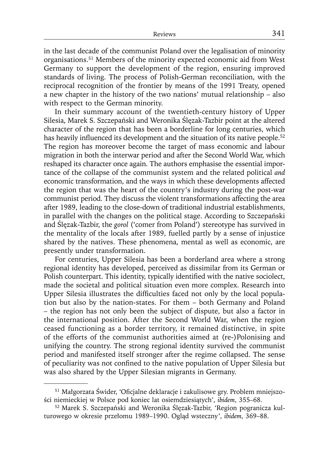in the last decade of the communist Poland over the legalisation of minority organisations.51 Members of the minority expected economic aid from West Germany to support the development of the region, ensuring improved standards of living. The process of Polish-German reconciliation, with the reciprocal recognition of the frontier by means of the 1991 Treaty, opened a new chapter in the history of the two nations' mutual relationship – also with respect to the German minority.

In their summary account of the twentieth-century history of Upper Silesia, Marek S. Szczepański and Weronika Ślęzak-Tazbir point at the altered character of the region that has been a borderline for long centuries, which has heavily influenced its development and the situation of its native people.<sup>52</sup> The region has moreover become the target of mass economic and labour migration in both the interwar period and after the Second World War, which reshaped its character once again. The authors emphasise the essential importance of the collapse of the communist system and the related political *and* economic transformation, and the ways in which these developments affected the region that was the heart of the country's industry during the post-war communist period. They discuss the violent transformations affecting the area after 1989, leading to the close-down of traditional industrial establishments, in parallel with the changes on the political stage. According to Szczepański and Ślęzak-Tazbir, the *gorol* ('comer from Poland') stereotype has survived in the mentality of the locals after 1989, fuelled partly by a sense of injustice shared by the natives. These phenomena, mental as well as economic, are presently under transformation.

For centuries, Upper Silesia has been a borderland area where a strong regional identity has developed, perceived as dissimilar from its German or Polish counterpart. This identity, typically identified with the native sociolect, made the societal and political situation even more complex. Research into Upper Silesia illustrates the difficulties faced not only by the local population but also by the nation-states. For them – both Germany and Poland – the region has not only been the subject of dispute, but also a factor in the international position. After the Second World War, when the region ceased functioning as a border territory, it remained distinctive, in spite of the efforts of the communist authorities aimed at (re-)Polonising and unifying the country. The strong regional identity survived the communist period and manifested itself stronger after the regime collapsed. The sense of peculiarity was not confined to the native population of Upper Silesia but was also shared by the Upper Silesian migrants in Germany.

<sup>&</sup>lt;sup>51</sup> Małgorzata Świder, 'Oficjalne deklaracje i zakulisowe gry. Problem mniejszości niemieckiej w Polsce pod koniec lat osiemdziesiątych', *ibidem*, 355–68.

<sup>52</sup> Marek S. Szczepański and Weronika Ślęzak-Tazbir, 'Region pogranicza kulturowego w okresie przełomu 1989–1990. Ogląd wsteczny', *ibidem*, 369–88.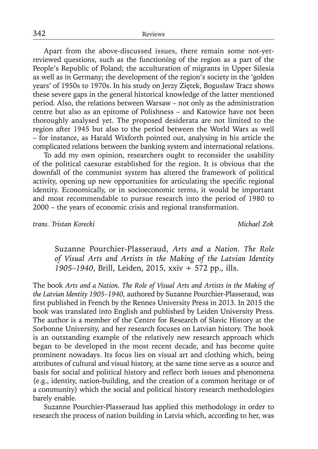Apart from the above-discussed issues, there remain some not-yetreviewed questions, such as the functioning of the region as a part of the People's Republic of Poland; the acculturation of migrants in Upper Silesia as well as in Germany; the development of the region's society in the 'golden years' of 1950s to 1970s. In his study on Jerzy Ziętek, Bogusław Tracz shows these severe gaps in the general historical knowledge of the latter mentioned period. Also, the relations between Warsaw – not only as the administration centre but also as an epitome of Polishness – and Katowice have not been thoroughly analysed yet. The proposed desiderata are not limited to the region after 1945 but also to the period between the World Wars as well – for instance, as Harald Wixforth pointed out, analysing in his article the complicated relations between the banking system and international relations.

To add my own opinion, researchers ought to reconsider the usability of the political caesurae established for the region. It is obvious that the downfall of the communist system has altered the framework of political activity, opening up new opportunities for articulating the specific regional identity. Economically, or in socioeconomic terms, it would be important and most recommendable to pursue research into the period of 1980 to 2000 – the years of economic crisis and regional transformation.

*trans. Tristan Korecki Michael Zok*

Suzanne Pourchier-Plasseraud, *Arts and a Nation. The Role of Visual Arts and Artists in the Making of the Latvian Identity 1905–1940*, Brill, Leiden, 2015, xxiv + 572 pp., ills.

The book *Arts and a Nation. The Role of Visual Arts and Artists in the Making of the Latvian Identity 1905–1940*, authored by Suzanne Pourchier-Plasseraud, was first published in French by the Rennes University Press in 2013. In 2015 the book was translated into English and published by Leiden University Press. The author is a member of the Centre for Research of Slavic History at the Sorbonne University, and her research focuses on Latvian history. The book is an outstanding example of the relatively new research approach which began to be developed in the most recent decade, and has become quite prominent nowadays. Its focus lies on visual art and clothing which, being attributes of cultural and visual history, at the same time serve as a source and basis for social and political history and reflect both issues and phenomena (e.g., identity, nation-building, and the creation of a common heritage or of a community) which the social and political history research methodologies barely enable.

Suzanne Pourchier-Plasseraud has applied this methodology in order to research the process of nation building in Latvia which, according to her, was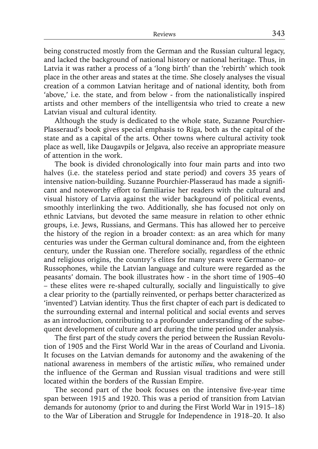being constructed mostly from the German and the Russian cultural legacy, and lacked the background of national history or national heritage. Thus, in Latvia it was rather a process of a 'long birth' than the 'rebirth' which took place in the other areas and states at the time. She closely analyses the visual creation of a common Latvian heritage and of national identity, both from 'above,' i.e. the state, and from below - from the nationalistically inspired artists and other members of the intelligentsia who tried to create a new Latvian visual and cultural identity.

Although the study is dedicated to the whole state, Suzanne Pourchier-Plasseraud's book gives special emphasis to Riga, both as the capital of the state and as a capital of the arts. Other towns where cultural activity took place as well, like Daugavpils or Jelgava, also receive an appropriate measure of attention in the work.

The book is divided chronologically into four main parts and into two halves (i.e. the stateless period and state period) and covers 35 years of intensive nation-building. Suzanne Pourchier-Plasseraud has made a significant and noteworthy effort to familiarise her readers with the cultural and visual history of Latvia against the wider background of political events, smoothly interlinking the two. Additionally, she has focused not only on ethnic Latvians, but devoted the same measure in relation to other ethnic groups, i.e. Jews, Russians, and Germans. This has allowed her to perceive the history of the region in a broader context: as an area which for many centuries was under the German cultural dominance and, from the eighteen century, under the Russian one. Therefore socially, regardless of the ethnic and religious origins, the country's elites for many years were Germano- or Russophones, while the Latvian language and culture were regarded as the peasants' domain. The book illustrates how - in the short time of 1905–40 – these elites were re-shaped culturally, socially and linguistically to give a clear priority to the (partially reinvented, or perhaps better characterized as 'invented') Latvian identity. Thus the first chapter of each part is dedicated to the surrounding external and internal political and social events and serves as an introduction, contributing to a profounder understanding of the subsequent development of culture and art during the time period under analysis.

The first part of the study covers the period between the Russian Revolution of 1905 and the First World War in the areas of Courland and Livonia. It focuses on the Latvian demands for autonomy and the awakening of the national awareness in members of the artistic *milieu*, who remained under the influence of the German and Russian visual traditions and were still located within the borders of the Russian Empire.

The second part of the book focuses on the intensive five-year time span between 1915 and 1920. This was a period of transition from Latvian demands for autonomy (prior to and during the First World War in 1915–18) to the War of Liberation and Struggle for Independence in 1918–20. It also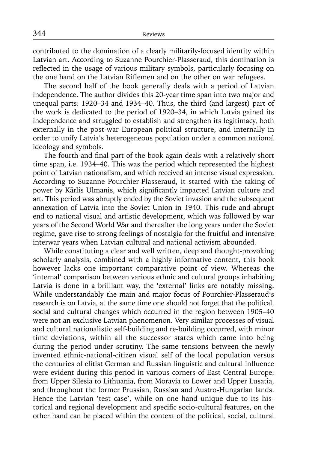contributed to the domination of a clearly militarily-focused identity within Latvian art. According to Suzanne Pourchier-Plasseraud, this domination is reflected in the usage of various military symbols, particularly focusing on the one hand on the Latvian Riflemen and on the other on war refugees.

The second half of the book generally deals with a period of Latvian independence. The author divides this 20-year time span into two major and unequal parts: 1920–34 and 1934–40. Thus, the third (and largest) part of the work is dedicated to the period of 1920–34, in which Latvia gained its independence and struggled to establish and strengthen its legitimacy, both externally in the post-war European political structure, and internally in order to unify Latvia's heterogeneous population under a common national ideology and symbols.

The fourth and final part of the book again deals with a relatively short time span, i.e. 1934–40. This was the period which represented the highest point of Latvian nationalism, and which received an intense visual expression. According to Suzanne Pourchier-Plasseraud, it started with the taking of power by Kārlis Ulmanis, which significantly impacted Latvian culture and art. This period was abruptly ended by the Soviet invasion and the subsequent annexation of Latvia into the Soviet Union in 1940. This rude and abrupt end to national visual and artistic development, which was followed by war years of the Second World War and thereafter the long years under the Soviet regime, gave rise to strong feelings of nostalgia for the fruitful and intensive interwar years when Latvian cultural and national activism abounded.

While constituting a clear and well written, deep and thought-provoking scholarly analysis, combined with a highly informative content, this book however lacks one important comparative point of view. Whereas the 'internal' comparison between various ethnic and cultural groups inhabiting Latvia is done in a brilliant way, the 'external' links are notably missing. While understandably the main and major focus of Pourchier-Plasseraud's research is on Latvia, at the same time one should not forget that the political, social and cultural changes which occurred in the region between 1905–40 were not an exclusive Latvian phenomenon. Very similar processes of visual and cultural nationalistic self-building and re-building occurred, with minor time deviations, within all the successor states which came into being during the period under scrutiny. The same tensions between the newly invented ethnic-national-citizen visual self of the local population versus the centuries of elitist German and Russian linguistic and cultural influence were evident during this period in various corners of East Central Europe: from Upper Silesia to Lithuania, from Moravia to Lower and Upper Lusatia, and throughout the former Prussian, Russian and Austro-Hungarian lands. Hence the Latvian 'test case', while on one hand unique due to its historical and regional development and specific socio-cultural features, on the other hand can be placed within the context of the political, social, cultural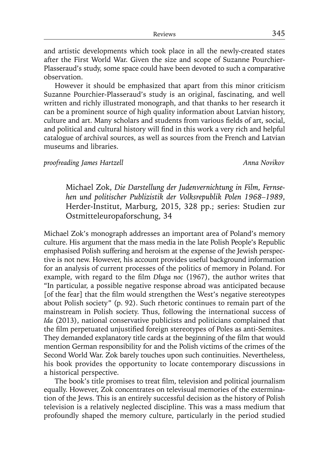and artistic developments which took place in all the newly-created states after the First World War. Given the size and scope of Suzanne Pourchier-Plasseraud's study, some space could have been devoted to such a comparative observation.

However it should be emphasized that apart from this minor criticism Suzanne Pourchier-Plasseraud's study is an original, fascinating, and well written and richly illustrated monograph, and that thanks to her research it can be a prominent source of high quality information about Latvian history, culture and art. Many scholars and students from various fields of art, social, and political and cultural history will find in this work a very rich and helpful catalogue of archival sources, as well as sources from the French and Latvian museums and libraries.

### *proofreading James Hartzell* Anna Novikov

Michael Zok, *Die Darstellung der Judenvernichtung in Film, Fernsehen und politischer Publizistik der Volksrepublik Polen 1968–1989*, Herder-Institut, Marburg, 2015, 328 pp.; series: Studien zur Ostmitteleuropaforschung, 34

Michael Zok's monograph addresses an important area of Poland's memory culture. His argument that the mass media in the late Polish People's Republic emphasised Polish suffering and heroism at the expense of the Jewish perspective is not new. However, his account provides useful background information for an analysis of current processes of the politics of memory in Poland. For example, with regard to the film *Długa noc* (1967), the author writes that "In particular, a possible negative response abroad was anticipated because [of the fear] that the film would strengthen the West's negative stereotypes about Polish society" (p. 92). Such rhetoric continues to remain part of the mainstream in Polish society. Thus, following the international success of *Ida* (2013), national conservative publicists and politicians complained that the film perpetuated unjustified foreign stereotypes of Poles as anti-Semites. They demanded explanatory title cards at the beginning of the film that would mention German responsibility for and the Polish victims of the crimes of the Second World War. Zok barely touches upon such continuities. Nevertheless, his book provides the opportunity to locate contemporary discussions in a historical perspective.

The book's title promises to treat film, television and political journalism equally. However, Zok concentrates on televisual memories of the extermination of the Jews. This is an entirely successful decision as the history of Polish television is a relatively neglected discipline. This was a mass medium that profoundly shaped the memory culture, particularly in the period studied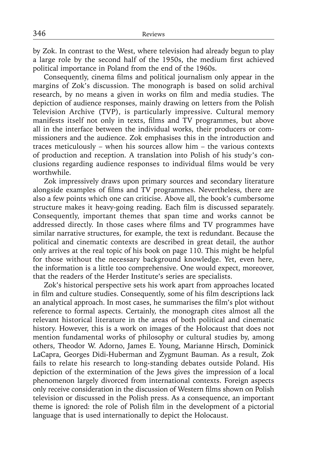by Zok. In contrast to the West, where television had already begun to play a large role by the second half of the 1950s, the medium first achieved political importance in Poland from the end of the 1960s.

Consequently, cinema films and political journalism only appear in the margins of Zok's discussion. The monograph is based on solid archival research, by no means a given in works on film and media studies. The depiction of audience responses, mainly drawing on letters from the Polish Television Archive (TVP), is particularly impressive. Cultural memory manifests itself not only in texts, films and TV programmes, but above all in the interface between the individual works, their producers or commissioners and the audience. Zok emphasises this in the introduction and traces meticulously – when his sources allow him – the various contexts of production and reception. A translation into Polish of his study's conclusions regarding audience responses to individual films would be very worthwhile.

Zok impressively draws upon primary sources and secondary literature alongside examples of films and TV programmes. Nevertheless, there are also a few points which one can criticise. Above all, the book's cumbersome structure makes it heavy-going reading. Each film is discussed separately. Consequently, important themes that span time and works cannot be addressed directly. In those cases where films and TV programmes have similar narrative structures, for example, the text is redundant. Because the political and cinematic contexts are described in great detail, the author only arrives at the real topic of his book on page 110. This might be helpful for those without the necessary background knowledge. Yet, even here, the information is a little too comprehensive. One would expect, moreover, that the readers of the Herder Institute's series are specialists.

Zok's historical perspective sets his work apart from approaches located in film and culture studies. Consequently, some of his film descriptions lack an analytical approach. In most cases, he summarises the film's plot without reference to formal aspects. Certainly, the monograph cites almost all the relevant historical literature in the areas of both political and cinematic history. However, this is a work on images of the Holocaust that does not mention fundamental works of philosophy or cultural studies by, among others, Theodor W. Adorno, James E. Young, Marianne Hirsch, Dominick LaCapra, Georges Didi-Huberman and Zygmunt Bauman. As a result, Zok fails to relate his research to long-standing debates outside Poland. His depiction of the extermination of the Jews gives the impression of a local phenomenon largely divorced from international contexts. Foreign aspects only receive consideration in the discussion of Western films shown on Polish television or discussed in the Polish press. As a consequence, an important theme is ignored: the role of Polish film in the development of a pictorial language that is used internationally to depict the Holocaust.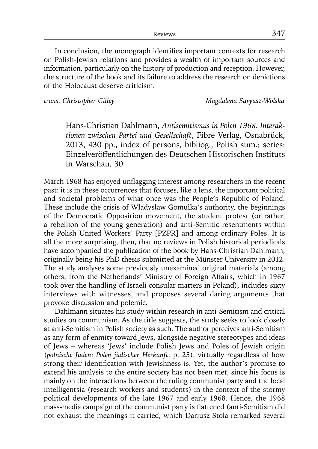In conclusion, the monograph identifies important contexts for research on Polish-Jewish relations and provides a wealth of important sources and information, particularly on the history of production and reception. However, the structure of the book and its failure to address the research on depictions of the Holocaust deserve criticism.

*trans. Christopher Gilley Magdalena Saryusz-Wolska*

Hans-Christian Dahlmann, *Antisemitismus in Polen 1968. Interaktionen zwischen Partei und Gesellschaft*, Fibre Verlag, Osnabrück, 2013, 430 pp., index of persons, bibliog., Polish sum.; series: Einzelveröffentlichungen des Deutschen Historischen Instituts in Warschau, 30

March 1968 has enjoyed unflagging interest among researchers in the recent past: it is in these occurrences that focuses, like a lens, the important political and societal problems of what once was the People's Republic of Poland. These include the crisis of Władysław Gomułka's authority, the beginnings of the Democratic Opposition movement, the student protest (or rather, a rebellion of the young generation) and anti-Semitic resentments within the Polish United Workers' Party [PZPR] and among ordinary Poles. It is all the more surprising, then, that no reviews in Polish historical periodicals have accompanied the publication of the book by Hans-Christian Dahlmann, originally being his PhD thesis submitted at the Münster University in 2012. The study analyses some previously unexamined original materials (among others, from the Netherlands' Ministry of Foreign Affairs, which in 1967 took over the handling of Israeli consular matters in Poland), includes sixty interviews with witnesses, and proposes several daring arguments that provoke discussion and polemic.

Dahlmann situates his study within research in anti-Semitism and critical studies on communism. As the title suggests, the study seeks to look closely at anti-Semitism in Polish society as such. The author perceives anti-Semitism as any form of enmity toward Jews, alongside negative stereotypes and ideas of Jews – whereas 'Jews' include Polish Jews and Poles of Jewish origin (*polnische Juden*; *Polen jüdischer Herkunft*, p. 25), virtually regardless of how strong their identification with Jewishness is. Yet, the author's promise to extend his analysis to the entire society has not been met, since his focus is mainly on the interactions between the ruling communist party and the local intelligentsia (research workers and students) in the context of the stormy political developments of the late 1967 and early 1968. Hence, the 1968 mass-media campaign of the communist party is flattened (anti-Semitism did not exhaust the meanings it carried, which Dariusz Stola remarked several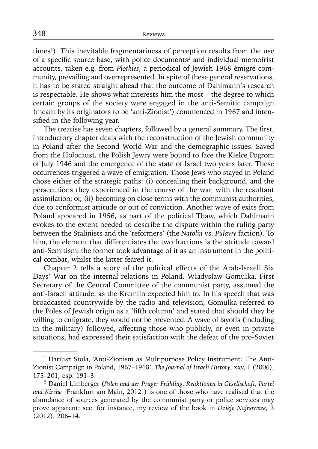times<sup>1</sup>). This inevitable fragmentariness of perception results from the use of a specific source base, with police documents<sup>2</sup> and individual memoirist accounts, taken e.g. from *Plotkies*, a periodical of Jewish 1968 émigré community, prevailing and overrepresented. In spite of these general reservations, it has to be stated straight ahead that the outcome of Dahlmann's research is respectable. He shows what interests him the most – the degree to which certain groups of the society were engaged in the anti-Semitic campaign (meant by its originators to be 'anti-Zionist') commenced in 1967 and intensified in the following year.

The treatise has seven chapters, followed by a general summary. The first, introductory chapter deals with the reconstruction of the Jewish community in Poland after the Second World War and the demographic issues. Saved from the Holocaust, the Polish Jewry were bound to face the Kielce Pogrom of July 1946 and the emergence of the state of Israel two years later. These occurrences triggered a wave of emigration. Those Jews who stayed in Poland chose either of the strategic paths: (i) concealing their background, and the persecutions they experienced in the course of the war, with the resultant assimilation; or, (ii) becoming on close terms with the communist authorities, due to conformist attitude or out of conviction. Another wave of exits from Poland appeared in 1956, as part of the political Thaw, which Dahlmann evokes to the extent needed to describe the dispute within the ruling party between the Stalinists and the 'reformers' (the *Natolin* vs. *Puławy* faction). To him, the element that differentiates the two fractions is the attitude toward anti-Semitism: the former took advantage of it as an instrument in the political combat, whilst the latter feared it.

Chapter 2 tells a story of the political effects of the Arab-Israeli Six Days' War on the internal relations in Poland. Władysław Gomułka, First Secretary of the Central Committee of the communist party, assumed the anti-Israeli attitude, as the Kremlin expected him to. In his speech that was broadcasted countrywide by the radio and television, Gomułka referred to the Poles of Jewish origin as a 'fifth column' and stated that should they be willing to emigrate, they would not be prevented. A wave of layoffs (including in the military) followed, affecting those who publicly, or even in private situations, had expressed their satisfaction with the defeat of the pro-Soviet

<sup>&</sup>lt;sup>1</sup> Dariusz Stola, 'Anti-Zionism as Multipurpose Policy Instrument: The Anti-Zionist Campaign in Poland, 1967–1968', *The Journal of Israeli History*, xxv, 1 (2006), 175–201, esp. 191–3.

<sup>2</sup> Daniel Limberger (*Polen und der Prager Frühling. Reaktionen in Gesellschaft, Partei und Kirche* [Frankfurt am Main, 2012]) is one of those who have realised that the abundance of sources generated by the communist party or police services may prove apparent; see, for instance, my review of the book in *Dzieje Najnowsze*, 3 (2012), 206–14.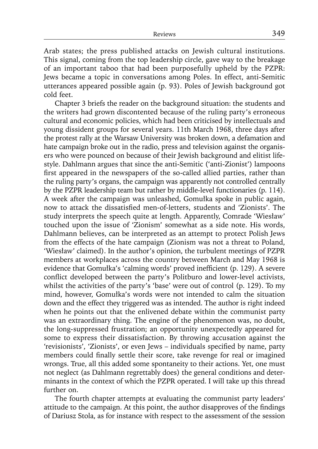Arab states; the press published attacks on Jewish cultural institutions. This signal, coming from the top leadership circle, gave way to the breakage of an important taboo that had been purposefully upheld by the PZPR: Jews became a topic in conversations among Poles. In effect, anti-Semitic utterances appeared possible again (p. 93). Poles of Jewish background got cold feet.

Chapter 3 briefs the reader on the background situation: the students and the writers had grown discontented because of the ruling party's erroneous cultural and economic policies, which had been criticised by intellectuals and young dissident groups for several years. 11th March 1968, three days after the protest rally at the Warsaw University was broken down, a defamation and hate campaign broke out in the radio, press and television against the organisers who were pounced on because of their Jewish background and elitist lifestyle. Dahlmann argues that since the anti-Semitic ('anti-Zionist') lampoons first appeared in the newspapers of the so-called allied parties, rather than the ruling party's organs, the campaign was apparently not controlled centrally by the PZPR leadership team but rather by middle-level functionaries (p. 114). A week after the campaign was unleashed, Gomułka spoke in public again, now to attack the dissatisfied men-of-letters, students and 'Zionists'. The study interprets the speech quite at length. Apparently, Comrade 'Wiesław' touched upon the issue of 'Zionism' somewhat as a side note. His words, Dahlmann believes, can be interpreted as an attempt to protect Polish Jews from the effects of the hate campaign (Zionism was not a threat to Poland, 'Wiesław' claimed). In the author's opinion, the turbulent meetings of PZPR members at workplaces across the country between March and May 1968 is evidence that Gomułka's 'calming words' proved inefficient (p. 129). A severe conflict developed between the party's Politburo and lower-level activists, whilst the activities of the party's 'base' were out of control (p. 129). To my mind, however, Gomułka's words were not intended to calm the situation down and the effect they triggered was as intended. The author is right indeed when he points out that the enlivened debate within the communist party was an extraordinary thing. The engine of the phenomenon was, no doubt, the long-suppressed frustration; an opportunity unexpectedly appeared for some to express their dissatisfaction. By throwing accusation against the 'revisionists', 'Zionists', or even Jews – individuals specified by name, party members could finally settle their score, take revenge for real or imagined wrongs. True, all this added some spontaneity to their actions. Yet, one must not neglect (as Dahlmann regrettably does) the general conditions and determinants in the context of which the PZPR operated. I will take up this thread further on.

The fourth chapter attempts at evaluating the communist party leaders' attitude to the campaign. At this point, the author disapproves of the findings of Dariusz Stola, as for instance with respect to the assessment of the session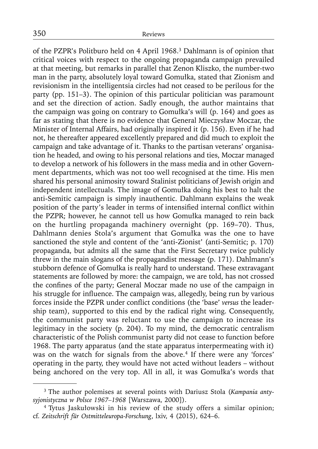of the PZPR's Politburo held on 4 April 1968.3 Dahlmann is of opinion that critical voices with respect to the ongoing propaganda campaign prevailed at that meeting, but remarks in parallel that Zenon Kliszko, the number-two man in the party, absolutely loyal toward Gomułka, stated that Zionism and revisionism in the intelligentsia circles had not ceased to be perilous for the party (pp. 151–3). The opinion of this particular politician was paramount and set the direction of action. Sadly enough, the author maintains that the campaign was going on contrary to Gomułka's will (p. 164) and goes as far as stating that there is no evidence that General Mieczysław Moczar, the Minister of Internal Affairs, had originally inspired it (p. 156). Even if he had not, he thereafter appeared excellently prepared and did much to exploit the campaign and take advantage of it. Thanks to the partisan veterans' organisation he headed, and owing to his personal relations and ties, Moczar managed to develop a network of his followers in the mass media and in other Government departments, which was not too well recognised at the time. His men shared his personal animosity toward Stalinist politicians of Jewish origin and independent intellectuals. The image of Gomułka doing his best to halt the anti-Semitic campaign is simply inauthentic. Dahlmann explains the weak position of the party's leader in terms of intensified internal conflict within the PZPR; however, he cannot tell us how Gomułka managed to rein back on the hurtling propaganda machinery overnight (pp. 169–70). Thus, Dahlmann denies Stola's argument that Gomułka was the one to have sanctioned the style and content of the 'anti-Zionist' (anti-Semitic; p. 170) propaganda, but admits all the same that the First Secretary twice publicly threw in the main slogans of the propagandist message (p. 171). Dahlmann's stubborn defence of Gomułka is really hard to understand. These extravagant statements are followed by more: the campaign, we are told, has not crossed the confines of the party; General Moczar made no use of the campaign in his struggle for influence. The campaign was, allegedly, being run by various forces inside the PZPR under conflict conditions (the 'base' *versus* the leadership team), supported to this end by the radical right wing. Consequently, the communist party was reluctant to use the campaign to increase its legitimacy in the society (p. 204). To my mind, the democratic centralism characteristic of the Polish communist party did not cease to function before 1968. The party apparatus (and the state apparatus interpermeating with it) was on the watch for signals from the above.<sup>4</sup> If there were any 'forces' operating in the party, they would have not acted without leaders – without being anchored on the very top. All in all, it was Gomułka's words that

<sup>3</sup> The author polemises at several points with Dariusz Stola (*Kampania antysyjonistyczna w Polsce 1967–1968* [Warszawa, 2000]).

<sup>4</sup> Tytus Jaskułowski in his review of the study offers a similar opinion; cf. *Zeitschrift für Ostmitteleuropa-Forschung*, lxiv, 4 (2015), 624–6.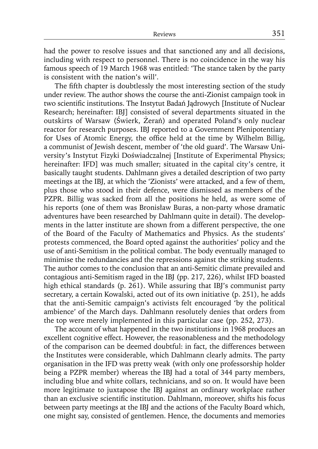had the power to resolve issues and that sanctioned any and all decisions, including with respect to personnel. There is no coincidence in the way his famous speech of 19 March 1968 was entitled: 'The stance taken by the party is consistent with the nation's will'.

The fifth chapter is doubtlessly the most interesting section of the study under review. The author shows the course the anti-Zionist campaign took in two scientific institutions. The Instytut Badań Jądrowych [Institute of Nuclear Research; hereinafter: IBJ] consisted of several departments situated in the outskirts of Warsaw (Świerk, Żerań) and operated Poland's only nuclear reactor for research purposes. IBJ reported to a Government Plenipotentiary for Uses of Atomic Energy, the office held at the time by Wilhelm Billig, a communist of Jewish descent, member of 'the old guard'. The Warsaw University's Instytut Fizyki Doświadczalnej [Institute of Experimental Physics; hereinafter: IFD] was much smaller; situated in the capital city's centre, it basically taught students. Dahlmann gives a detailed description of two party meetings at the IBJ, at which the 'Zionists' were attacked, and a few of them, plus those who stood in their defence, were dismissed as members of the PZPR. Billig was sacked from all the positions he held, as were some of his reports (one of them was Bronisław Buras, a non-party whose dramatic adventures have been researched by Dahlmann quite in detail). The developments in the latter institute are shown from a different perspective, the one of the Board of the Faculty of Mathematics and Physics. As the students' protests commenced, the Board opted against the authorities' policy and the use of anti-Semitism in the political combat. The body eventually managed to minimise the redundancies and the repressions against the striking students. The author comes to the conclusion that an anti-Semitic climate prevailed and contagious anti-Semitism raged in the IBJ (pp. 217, 226), whilst IFD boasted high ethical standards (p. 261). While assuring that IBJ's communist party secretary, a certain Kowalski, acted out of its own initiative (p. 251), he adds that the anti-Semitic campaign's activists felt encouraged 'by the political ambience' of the March days. Dahlmann resolutely denies that orders from the top were merely implemented in this particular case (pp. 252, 273).

The account of what happened in the two institutions in 1968 produces an excellent cognitive effect. However, the reasonableness and the methodology of the comparison can be deemed doubtful: in fact, the differences between the Institutes were considerable, which Dahlmann clearly admits. The party organisation in the IFD was pretty weak (with only one professorship holder being a PZPR member) whereas the IBJ had a total of 344 party members, including blue and white collars, technicians, and so on. It would have been more legitimate to juxtapose the IBJ against an ordinary workplace rather than an exclusive scientific institution. Dahlmann, moreover, shifts his focus between party meetings at the IBJ and the actions of the Faculty Board which, one might say, consisted of gentlemen. Hence, the documents and memories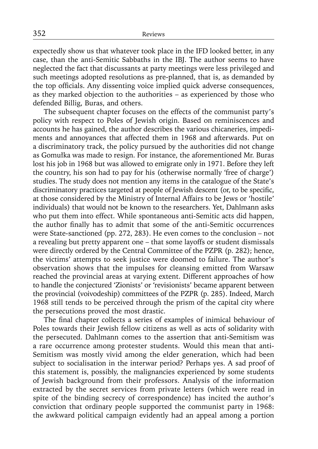expectedly show us that whatever took place in the IFD looked better, in any case, than the anti-Semitic Sabbaths in the IBJ. The author seems to have neglected the fact that discussants at party meetings were less privileged and such meetings adopted resolutions as pre-planned, that is, as demanded by the top officials. Any dissenting voice implied quick adverse consequences, as they marked objection to the authorities – as experienced by those who defended Billig, Buras, and others.

The subsequent chapter focuses on the effects of the communist party's policy with respect to Poles of Jewish origin. Based on reminiscences and accounts he has gained, the author describes the various chicaneries, impediments and annoyances that affected them in 1968 and afterwards. Put on a discriminatory track, the policy pursued by the authorities did not change as Gomułka was made to resign. For instance, the aforementioned Mr. Buras lost his job in 1968 but was allowed to emigrate only in 1971. Before they left the country, his son had to pay for his (otherwise normally 'free of charge') studies. The study does not mention any items in the catalogue of the State's discriminatory practices targeted at people of Jewish descent (or, to be specific, at those considered by the Ministry of Internal Affairs to be Jews or 'hostile' individuals) that would not be known to the researchers. Yet, Dahlmann asks who put them into effect. While spontaneous anti-Semitic acts did happen, the author finally has to admit that some of the anti-Semitic occurrences were State-sanctioned (pp. 272, 283). He even comes to the conclusion – not a revealing but pretty apparent one – that some layoffs or student dismissals were directly ordered by the Central Committee of the PZPR (p. 282); hence, the victims' attempts to seek justice were doomed to failure. The author's observation shows that the impulses for cleansing emitted from Warsaw reached the provincial areas at varying extent. Different approaches of how to handle the conjectured 'Zionists' or 'revisionists' became apparent between the provincial (voivodeship) committees of the PZPR (p. 285). Indeed, March 1968 still tends to be perceived through the prism of the capital city where the persecutions proved the most drastic.

The final chapter collects a series of examples of inimical behaviour of Poles towards their Jewish fellow citizens as well as acts of solidarity with the persecuted. Dahlmann comes to the assertion that anti-Semitism was a rare occurrence among protester students. Would this mean that anti-Semitism was mostly vivid among the elder generation, which had been subject to socialisation in the interwar period? Perhaps yes. A sad proof of this statement is, possibly, the malignancies experienced by some students of Jewish background from their professors. Analysis of the information extracted by the secret services from private letters (which were read in spite of the binding secrecy of correspondence) has incited the author's conviction that ordinary people supported the communist party in 1968: the awkward political campaign evidently had an appeal among a portion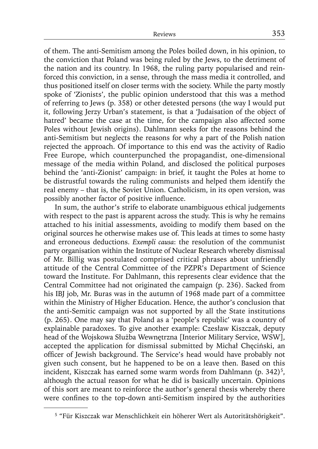of them. The anti-Semitism among the Poles boiled down, in his opinion, to the conviction that Poland was being ruled by the Jews, to the detriment of the nation and its country. In 1968, the ruling party popularised and reinforced this conviction, in a sense, through the mass media it controlled, and thus positioned itself on closer terms with the society. While the party mostly spoke of 'Zionists', the public opinion understood that this was a method of referring to Jews (p. 358) or other detested persons (the way I would put it, following Jerzy Urban's statement, is that a 'Judaisation of the object of hatred' became the case at the time, for the campaign also affected some Poles without Jewish origins). Dahlmann seeks for the reasons behind the anti-Semitism but neglects the reasons for why a part of the Polish nation rejected the approach. Of importance to this end was the activity of Radio Free Europe, which counterpunched the propagandist, one-dimensional message of the media within Poland, and disclosed the political purposes behind the 'anti-Zionist' campaign: in brief, it taught the Poles at home to be distrustful towards the ruling communists and helped them identify the real enemy – that is, the Soviet Union. Catholicism, in its open version, was possibly another factor of positive influence.

In sum, the author's strife to elaborate unambiguous ethical judgements with respect to the past is apparent across the study. This is why he remains attached to his initial assessments, avoiding to modify them based on the original sources he otherwise makes use of. This leads at times to some hasty and erroneous deductions. *Exempli causa*: the resolution of the communist party organisation within the Institute of Nuclear Research whereby dismissal of Mr. Billig was postulated comprised critical phrases about unfriendly attitude of the Central Committee of the PZPR's Department of Science toward the Institute. For Dahlmann, this represents clear evidence that the Central Committee had not originated the campaign (p. 236). Sacked from his IBJ job, Mr. Buras was in the autumn of 1968 made part of a committee within the Ministry of Higher Education. Hence, the author's conclusion that the anti-Semitic campaign was not supported by all the State institutions (p. 265). One may say that Poland as a 'people's republic' was a country of explainable paradoxes. To give another example: Czesław Kiszczak, deputy head of the Wojskowa Służba Wewnętrzna [Interior Military Service, WSW], accepted the application for dismissal submitted by Michał Chęciński, an officer of Jewish background. The Service's head would have probably not given such consent, but he happened to be on a leave then. Based on this incident, Kiszczak has earned some warm words from Dahlmann (p. 342)<sup>5</sup>, although the actual reason for what he did is basically uncertain. Opinions of this sort are meant to reinforce the author's general thesis whereby there were confines to the top-down anti-Semitism inspired by the authorities

<sup>5 &</sup>quot;Für Kiszczak war Menschlichkeit ein höherer Wert als Autoritätshörigkeit".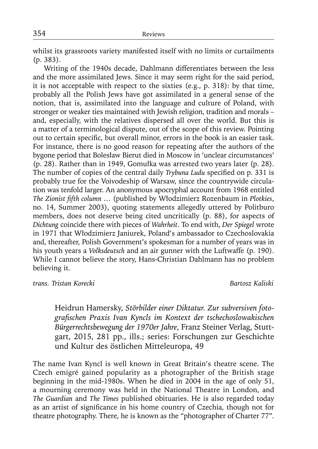whilst its grassroots variety manifested itself with no limits or curtailments (p. 383).

Writing of the 1940s decade, Dahlmann differentiates between the less and the more assimilated Jews. Since it may seem right for the said period, it is not acceptable with respect to the sixties (e.g., p. 318): by that time, probably all the Polish Jews have got assimilated in a general sense of the notion, that is, assimilated into the language and culture of Poland, with stronger or weaker ties maintained with Jewish religion, tradition and morals – and, especially, with the relatives dispersed all over the world. But this is a matter of a terminological dispute, out of the scope of this review. Pointing out to certain specific, but overall minor, errors in the book is an easier task. For instance, there is no good reason for repeating after the authors of the bygone period that Bolesław Bierut died in Moscow in 'unclear circumstances' (p. 28). Rather than in 1949, Gomułka was arrested two years later (p. 28). The number of copies of the central daily *Trybuna Ludu* specified on p. 331 is probably true for the Voivodeship of Warsaw, since the countrywide circulation was tenfold larger. An anonymous apocryphal account from 1968 entitled *The Zionist fifth column ...* (published by Włodzimierz Rozenbaum in *Plotkies*, no. 14, Summer 2003), quoting statements allegedly uttered by Politburo members, does not deserve being cited uncritically (p. 88), for aspects of *Dichtung* coincide there with pieces of *Wahrheit*. To end with, *Der Spiegel* wrote in 1971 that Włodzimierz Janiurek, Poland's ambassador to Czechoslovakia and, thereafter, Polish Government's spokesman for a number of years was in his youth years a *Volksdeutsch* and an air gunner with the Luftwaffe (p. 190). While I cannot believe the story, Hans-Christian Dahlmann has no problem believing it.

*trans. Tristan Korecki Bartosz Kaliski*

Heidrun Hamersky, *Störbilder einer Diktatur. Zur subversiven fotografi schen Praxis Ivan Kyncls im Kontext der tschechoslowakischen Bürgerrechtsbewegung der 1970er Jahre*, Franz Steiner Verlag, Stuttgart, 2015, 281 pp., ills.; series: Forschungen zur Geschichte und Kultur des östlichen Mitteleuropa, 49

The name Ivan Kyncl is well known in Great Britain's theatre scene. The Czech emigré gained popularity as a photographer of the British stage beginning in the mid-1980s. When he died in 2004 in the age of only 51, a mourning ceremony was held in the National Theatre in London, and *The Guardian* and *The Times* published obituaries. He is also regarded today as an artist of significance in his home country of Czechia, though not for theatre photography. There, he is known as the "photographer of Charter 77".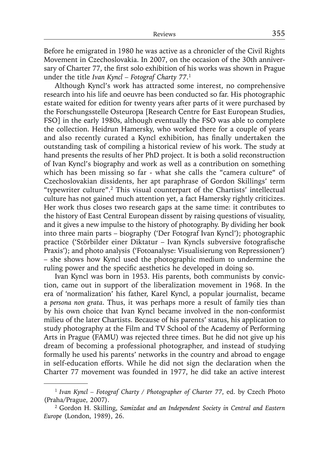Before he emigrated in 1980 he was active as a chronicler of the Civil Rights Movement in Czechoslovakia. In 2007, on the occasion of the 30th anniversary of Charter 77, the first solo exhibition of his works was shown in Prague under the title *Ivan Kyncl – Fotograf Charty 77*. 1

Although Kyncl's work has attracted some interest, no comprehensive research into his life and oeuvre has been conducted so far. His photographic estate waited for edition for twenty years after parts of it were purchased by the Forschungsstelle Osteuropa [Research Centre for East European Studies, FSO] in the early 1980s, although eventually the FSO was able to complete the collection. Heidrun Hamersky, who worked there for a couple of years and also recently curated a Kyncl exhibition, has finally undertaken the outstanding task of compiling a historical review of his work. The study at hand presents the results of her PhD project. It is both a solid reconstruction of Ivan Kyncl's biography and work as well as a contribution on something which has been missing so far - what she calls the "camera culture" of Czechoslovakian dissidents, her apt paraphrase of Gordon Skillings' term "typewriter culture".2 This visual counterpart of the Chartists' intellectual culture has not gained much attention yet, a fact Hamersky rightly criticizes. Her work thus closes two research gaps at the same time: it contributes to the history of East Central European dissent by raising questions of visuality, and it gives a new impulse to the history of photography. By dividing her book into three main parts – biography ('Der Fotograf Ivan Kyncl'); photographic practice ('Störbilder einer Diktatur - Ivan Kyncls subversive fotografische Praxis'); and photo analysis ('Fotoanalyse: Visualisierung von Repressionen') – she shows how Kyncl used the photographic medium to undermine the ruling power and the specific aesthetics he developed in doing so.

Ivan Kyncl was born in 1953. His parents, both communists by conviction, came out in support of the liberalization movement in 1968. In the era of 'normalization' his father, Karel Kyncl, a popular journalist, became a *persona non grata*. Thus, it was perhaps more a result of family ties than by his own choice that Ivan Kyncl became involved in the non-conformist milieu of the later Chartists. Because of his parents' status, his application to study photography at the Film and TV School of the Academy of Performing Arts in Prague (FAMU) was rejected three times. But he did not give up his dream of becoming a professional photographer, and instead of studying formally he used his parents' networks in the country and abroad to engage in self-education efforts. While he did not sign the declaration when the Charter 77 movement was founded in 1977, he did take an active interest

<sup>1</sup>*Ivan Kyncl – Fotograf Charty / Photographer of Charter 77*, ed. by Czech Photo (Praha/Prague, 2007).

<sup>2</sup> Gordon H. Skilling, *Samizdat and an Independent Society in Central and Eastern Europe* (London, 1989), 26.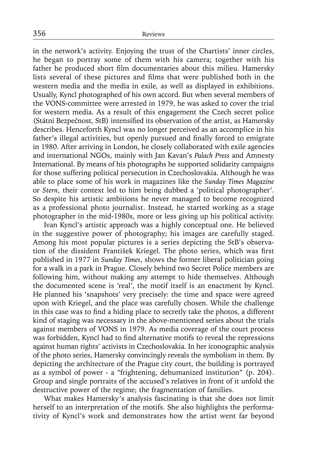in the network's activity. Enjoying the trust of the Chartists' inner circles, he began to portray some of them with his camera; together with his father he produced short film documentaries about this milieu. Hamersky lists several of these pictures and films that were published both in the western media and the media in exile, as well as displayed in exhibitions. Usually, Kyncl photographed of his own accord. But when several members of the VONS-committee were arrested in 1979, he was asked to cover the trial for western media. As a result of this engagement the Czech secret police (Státní Bezpečnost, StB) intensified its observation of the artist, as Hamersky describes. Henceforth Kyncl was no longer perceived as an accomplice in his father's illegal activities, but openly pursued and finally forced to emigrate in 1980. After arriving in London, he closely collaborated with exile agencies and international NGOs, mainly with Jan Kavan's *Palach Press* and Amnesty International. By means of his photographs he supported solidarity campaigns for those suffering political persecution in Czechoslovakia. Although he was able to place some of his work in magazines like the *Sunday Times Magazine* or *Stern*, their context led to him being dubbed a 'political photographer'. So despite his artistic ambitions he never managed to become recognized as a professional photo journalist. Instead, he started working as a stage photographer in the mid-1980s, more or less giving up his political activity.

Ivan Kyncl's artistic approach was a highly conceptual one. He believed in the suggestive power of photography; his images are carefully staged. Among his most popular pictures is a series depicting the StB's observation of the dissident František Kriegel. The photo series, which was first published in 1977 in *Sunday Times*, shows the former liberal politician going for a walk in a park in Prague. Closely behind two Secret Police members are following him, without making any attempt to hide themselves. Although the documented scene is 'real', the motif itself is an enactment by Kyncl. He planned his 'snapshots' very precisely: the time and space were agreed upon with Kriegel, and the place was carefully chosen. While the challenge in this case was to find a hiding place to secretly take the photos, a different kind of staging was necessary in the above-mentioned series about the trials against members of VONS in 1979. As media coverage of the court process was forbidden, Kyncl had to find alternative motifs to reveal the repressions against human rights' activists in Czechoslovakia. In her iconographic analysis of the photo series, Hamersky convincingly reveals the symbolism in them. By depicting the architecture of the Prague city court, the building is portrayed as a symbol of power - a "frightening, dehumanized institution" (p. 204). Group and single portraits of the accused's relatives in front of it unfold the destructive power of the regime; the fragmentation of families.

What makes Hamersky's analysis fascinating is that she does not limit herself to an interpretation of the motifs. She also highlights the performativity of Kyncl's work and demonstrates how the artist went far beyond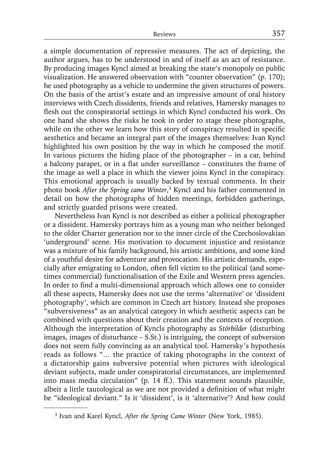a simple documentation of repressive measures. The act of depicting, the author argues, has to be understood in and of itself as an act of resistance. By producing images Kyncl aimed at breaking the state's monopoly on public visualization. He answered observation with "counter observation" (p. 170); he used photography as a vehicle to undermine the given structures of powers. On the basis of the artist's estate and an impressive amount of oral history interviews with Czech dissidents, friends and relatives, Hamersky manages to flesh out the conspiratorial settings in which Kyncl conducted his work. On one hand she shows the risks he took in order to stage these photographs, while on the other we learn how this story of conspiracy resulted in specific aesthetics and became an integral part of the images themselves: Ivan Kyncl highlighted his own position by the way in which he composed the motif. In various pictures the hiding place of the photographer – in a car, behind a balcony parapet, or in a flat under surveillance – constitutes the frame of the image as well a place in which the viewer joins Kyncl in the conspiracy. This emotional approach is usually backed by textual comments. In their photo book *After the Spring came Winter*, <sup>3</sup> Kyncl and his father commented in detail on how the photographs of hidden meetings, forbidden gatherings, and strictly guarded prisons were created.

Nevertheless Ivan Kyncl is not described as either a political photographer or a dissident. Hamersky portrays him as a young man who neither belonged to the older Charter generation nor to the inner circle of the Czechoslovakian 'underground' scene. His motivation to document injustice and resistance was a mixture of his family background, his artistic ambitions, and some kind of a youthful desire for adventure and provocation. His artistic demands, especially after emigrating to London, often fell victim to the political (and sometimes commercial) functionalisation of the Exile and Western press agencies. In order to find a multi-dimensional approach which allows one to consider all these aspects, Hamersky does not use the terms 'alternative' or 'dissident photography', which are common in Czech art history. Instead she proposes "subversiveness" as an analytical category in which aesthetic aspects can be combined with questions about their creation and the contexts of reception. Although the interpretation of Kyncls photography as *Störbilder* (disturbing images, images of disturbance – S.St.) is intriguing, the concept of subversion does not seem fully convincing as an analytical tool. Hamersky's hypothesis reads as follows "… the practice of taking photographs in the context of a dictatorship gains subversive potential when pictures with ideological deviant subjects, made under conspiratorial circumstances, are implemented into mass media circulation" (p. 14 ff.). This statement sounds plausible, albeit a little tautological as we are not provided a definition of what might be "ideological deviant." Is it 'dissident', is it 'alternative'? And how could

<sup>3</sup> Ivan and Karel Kyncl, *After the Spring Came Winter* (New York, 1985).